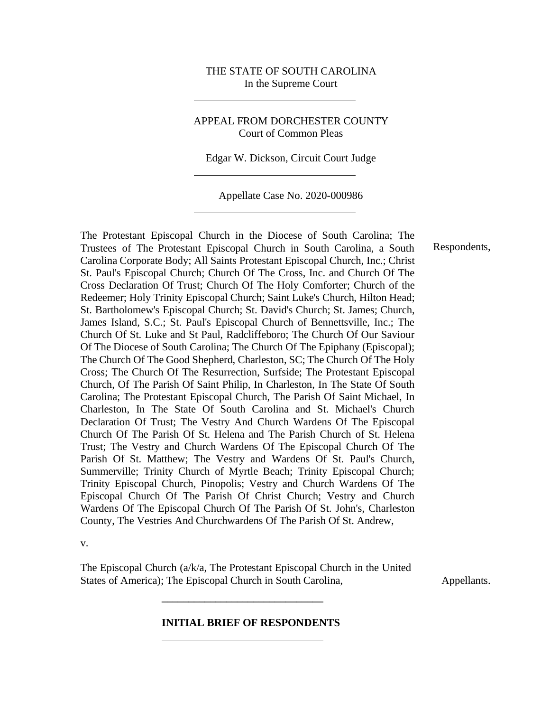## THE STATE OF SOUTH CAROLINA In the Supreme Court

## APPEAL FROM DORCHESTER COUNTY Court of Common Pleas

Edgar W. Dickson, Circuit Court Judge

Appellate Case No. 2020-000986

The Protestant Episcopal Church in the Diocese of South Carolina; The Trustees of The Protestant Episcopal Church in South Carolina, a South Carolina Corporate Body; All Saints Protestant Episcopal Church, Inc.; Christ St. Paul's Episcopal Church; Church Of The Cross, Inc. and Church Of The Cross Declaration Of Trust; Church Of The Holy Comforter; Church of the Redeemer; Holy Trinity Episcopal Church; Saint Luke's Church, Hilton Head; St. Bartholomew's Episcopal Church; St. David's Church; St. James; Church, James Island, S.C.; St. Paul's Episcopal Church of Bennettsville, Inc.; The Church Of St. Luke and St Paul, Radcliffeboro; The Church Of Our Saviour Of The Diocese of South Carolina; The Church Of The Epiphany (Episcopal); The Church Of The Good Shepherd, Charleston, SC; The Church Of The Holy Cross; The Church Of The Resurrection, Surfside; The Protestant Episcopal Church, Of The Parish Of Saint Philip, In Charleston, In The State Of South Carolina; The Protestant Episcopal Church, The Parish Of Saint Michael, In Charleston, In The State Of South Carolina and St. Michael's Church Declaration Of Trust; The Vestry And Church Wardens Of The Episcopal Church Of The Parish Of St. Helena and The Parish Church of St. Helena Trust; The Vestry and Church Wardens Of The Episcopal Church Of The Parish Of St. Matthew; The Vestry and Wardens Of St. Paul's Church, Summerville; Trinity Church of Myrtle Beach; Trinity Episcopal Church; Trinity Episcopal Church, Pinopolis; Vestry and Church Wardens Of The Episcopal Church Of The Parish Of Christ Church; Vestry and Church Wardens Of The Episcopal Church Of The Parish Of St. John's, Charleston County, The Vestries And Churchwardens Of The Parish Of St. Andrew,

v.

The Episcopal Church (a/k/a, The Protestant Episcopal Church in the United States of America); The Episcopal Church in South Carolina, Appellants.

**\_\_\_\_\_\_\_\_\_\_\_\_\_\_\_\_\_\_\_\_\_\_\_\_\_\_\_\_\_\_**

#### **INITIAL BRIEF OF RESPONDENTS**

Respondents,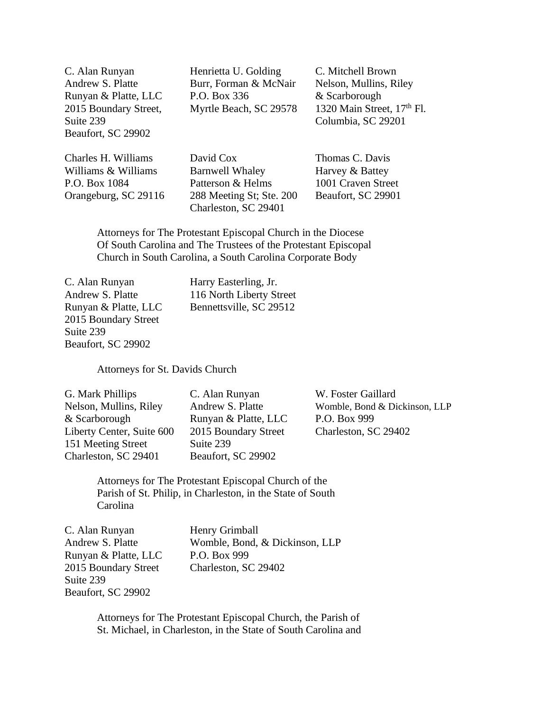Suite 239 Columbia, SC 29201 Beaufort, SC 29902

C. Alan Runyan Henrietta U. Golding C. Mitchell Brown Andrew S. Platte Burr, Forman & McNair Nelson, Mullins, Riley Runyan & Platte, LLC P.O. Box 336 & Scarborough

2015 Boundary Street, Myrtle Beach, SC 29578 1320 Main Street, 17<sup>th</sup> Fl.

Charles H. Williams David Cox Thomas C. Davis Williams & Williams Barnwell Whaley Harvey & Battey P.O. Box 1084 Patterson & Helms 1001 Craven Street Orangeburg, SC 29116 288 Meeting St; Ste. 200 Beaufort, SC 29901 Charleston, SC 29401

Attorneys for The Protestant Episcopal Church in the Diocese Of South Carolina and The Trustees of the Protestant Episcopal Church in South Carolina, a South Carolina Corporate Body

C. Alan Runyan Harry Easterling, Jr. 2015 Boundary Street Suite 239 Beaufort, SC 29902

Andrew S. Platte 116 North Liberty Street Runyan & Platte, LLC Bennettsville, SC 29512

Attorneys for St. Davids Church

| G. Mark Phillips          | C. Alan Runyan       | W. Foster Gaillard            |
|---------------------------|----------------------|-------------------------------|
| Nelson, Mullins, Riley    | Andrew S. Platte     | Womble, Bond & Dickinson, LLP |
| & Scarborough             | Runyan & Platte, LLC | P.O. Box 999                  |
| Liberty Center, Suite 600 | 2015 Boundary Street | Charleston, SC 29402          |
| 151 Meeting Street        | Suite 239            |                               |
| Charleston, SC 29401      | Beaufort, SC 29902   |                               |

Attorneys for The Protestant Episcopal Church of the Parish of St. Philip, in Charleston, in the State of South Carolina

C. Alan Runyan Henry Grimball Andrew S. Platte Womble, Bond, & Dickinson, LLP Runyan & Platte, LLC P.O. Box 999 2015 Boundary Street Charleston, SC 29402 Suite 239 Beaufort, SC 29902

> Attorneys for The Protestant Episcopal Church, the Parish of St. Michael, in Charleston, in the State of South Carolina and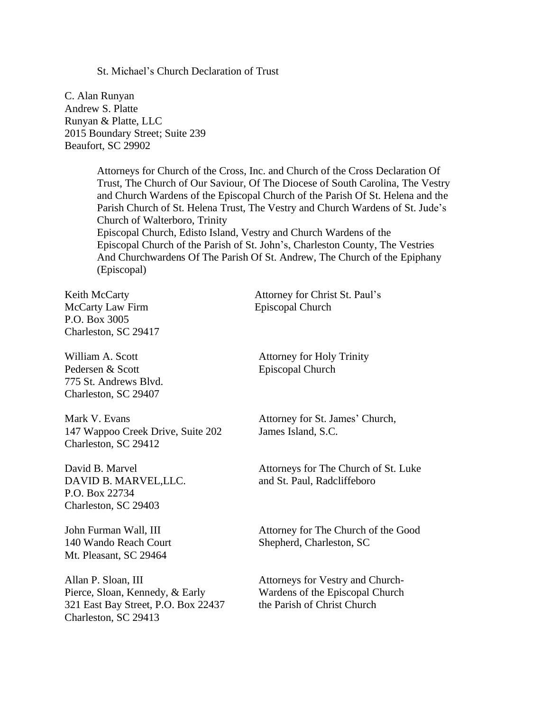St. Michael's Church Declaration of Trust

C. Alan Runyan Andrew S. Platte Runyan & Platte, LLC 2015 Boundary Street; Suite 239 Beaufort, SC 29902

> Attorneys for Church of the Cross, Inc. and Church of the Cross Declaration Of Trust, The Church of Our Saviour, Of The Diocese of South Carolina, The Vestry and Church Wardens of the Episcopal Church of the Parish Of St. Helena and the Parish Church of St. Helena Trust, The Vestry and Church Wardens of St. Jude's Church of Walterboro, Trinity Episcopal Church, Edisto Island, Vestry and Church Wardens of the Episcopal Church of the Parish of St. John's, Charleston County, The Vestries And Churchwardens Of The Parish Of St. Andrew, The Church of the Epiphany (Episcopal)

McCarty Law Firm Episcopal Church P.O. Box 3005 Charleston, SC 29417

Pedersen & Scott Episcopal Church 775 St. Andrews Blvd. Charleston, SC 29407

Mark V. Evans **Attorney for St. James' Church**, 147 Wappoo Creek Drive, Suite 202 James Island, S.C. Charleston, SC 29412

DAVID B. MARVEL, LLC. and St. Paul, Radcliffeboro P.O. Box 22734 Charleston, SC 29403

Mt. Pleasant, SC 29464

Allan P. Sloan, III Attorneys for Vestry and Church-Pierce, Sloan, Kennedy, & Early Wardens of the Episcopal Church<br>
321 East Bay Street. P.O. Box 22437 the Parish of Christ Church 321 East Bay Street, P.O. Box 22437 Charleston, SC 29413

Keith McCarty **Attorney for Christ St. Paul's** 

William A. Scott **Attorney for Holy Trinity** 

David B. Marvel **Attorneys** for The Church of St. Luke

John Furman Wall, III Attorney for The Church of the Good 140 Wando Reach Court Shepherd, Charleston, SC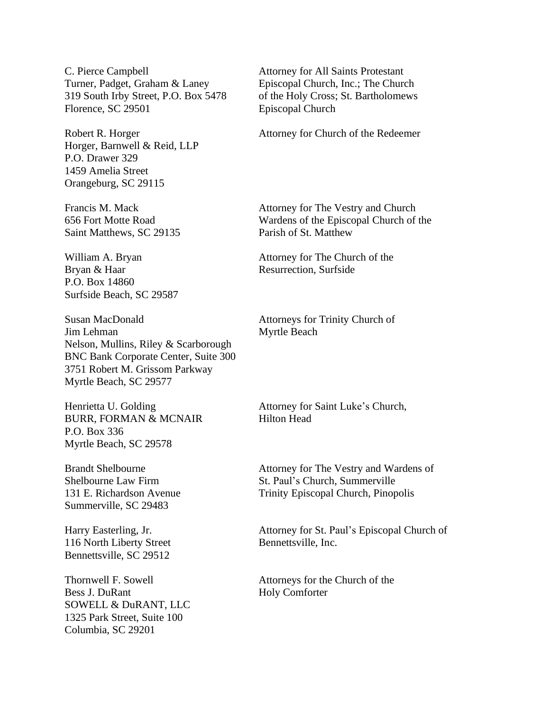C. Pierce Campbell Attorney for All Saints Protestant Turner, Padget, Graham & Laney Episcopal Church, Inc.; The Church 319 South Irby Street, P.O. Box 5478 of the Holy Cross; St. Bartholomews Florence, SC 29501 Episcopal Church

Horger, Barnwell & Reid, LLP P.O. Drawer 329 1459 Amelia Street Orangeburg, SC 29115

Saint Matthews, SC 29135 Parish of St. Matthew

Bryan & Haar Resurrection, Surfside P.O. Box 14860 Surfside Beach, SC 29587

Susan MacDonald Attorneys for Trinity Church of **Jim Lehman** Myrtle Beach Nelson, Mullins, Riley & Scarborough BNC Bank Corporate Center, Suite 300 3751 Robert M. Grissom Parkway Myrtle Beach, SC 29577

BURR, FORMAN & MCNAIR Hilton Head P.O. Box 336 Myrtle Beach, SC 29578

Summerville, SC 29483

116 North Liberty Street Bennettsville, Inc. Bennettsville, SC 29512

Bess J. DuRant Holy Comforter SOWELL & DuRANT, LLC 1325 Park Street, Suite 100 Columbia, SC 29201

Robert R. Horger Attorney for Church of the Redeemer

Francis M. Mack Attorney for The Vestry and Church 656 Fort Motte Road Wardens of the Episcopal Church of the

William A. Bryan Attorney for The Church of the

Henrietta U. Golding **Attorney for Saint Luke's Church**,

Brandt Shelbourne **Attorney for The Vestry and Wardens of** Shelbourne Law Firm St. Paul's Church, Summerville 131 E. Richardson Avenue Trinity Episcopal Church, Pinopolis

Harry Easterling, Jr. Attorney for St. Paul's Episcopal Church of

Thornwell F. Sowell **F.** Sowell **Attorneys** for the Church of the Church of the Church of the  $\frac{1}{2}$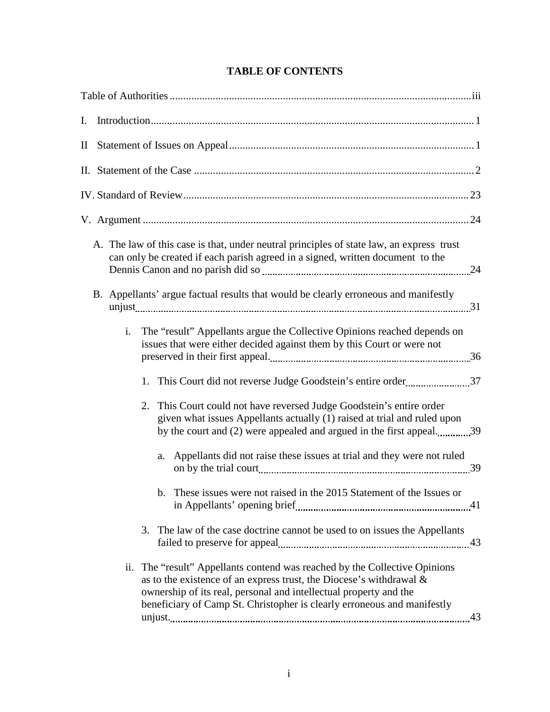| A. The law of this case is that, under neutral principles of state law, an express trust<br>can only be created if each parish agreed in a signed, written document to the                                                                                                                                 |
|------------------------------------------------------------------------------------------------------------------------------------------------------------------------------------------------------------------------------------------------------------------------------------------------------------|
| B. Appellants' argue factual results that would be clearly erroneous and manifestly                                                                                                                                                                                                                        |
| i.<br>The "result" Appellants argue the Collective Opinions reached depends on<br>issues that were either decided against them by this Court or were not                                                                                                                                                   |
|                                                                                                                                                                                                                                                                                                            |
| This Court could not have reversed Judge Goodstein's entire order<br>2.<br>given what issues Appellants actually (1) raised at trial and ruled upon<br>by the court and (2) were appealed and argued in the first appeal39                                                                                 |
| a. Appellants did not raise these issues at trial and they were not ruled                                                                                                                                                                                                                                  |
| b. These issues were not raised in the 2015 Statement of the Issues or                                                                                                                                                                                                                                     |
| 3. The law of the case doctrine cannot be used to on issues the Appellants                                                                                                                                                                                                                                 |
| ii. The "result" Appellants contend was reached by the Collective Opinions<br>as to the existence of an express trust, the Diocese's withdrawal $\&$<br>ownership of its real, personal and intellectual property and the<br>beneficiary of Camp St. Christopher is clearly erroneous and manifestly<br>43 |

# **TABLE OF CONTENTS**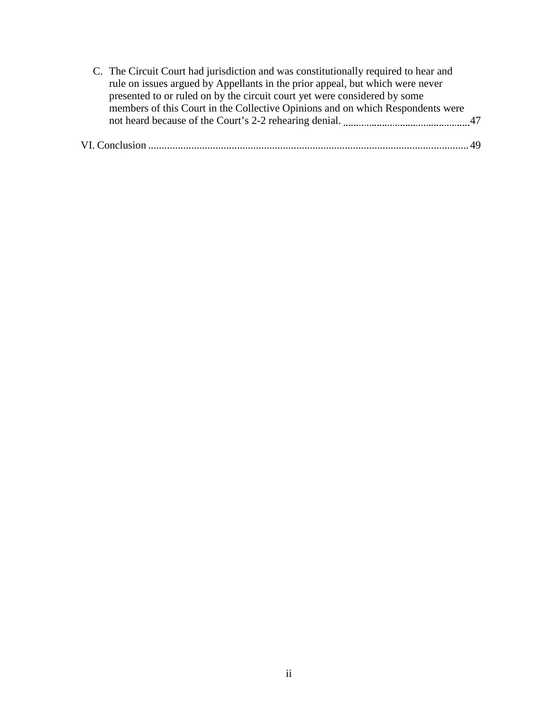| C. The Circuit Court had jurisdiction and was constitutionally required to hear and |  |
|-------------------------------------------------------------------------------------|--|
| rule on issues argued by Appellants in the prior appeal, but which were never       |  |
| presented to or ruled on by the circuit court yet were considered by some           |  |
| members of this Court in the Collective Opinions and on which Respondents were      |  |
|                                                                                     |  |
|                                                                                     |  |
|                                                                                     |  |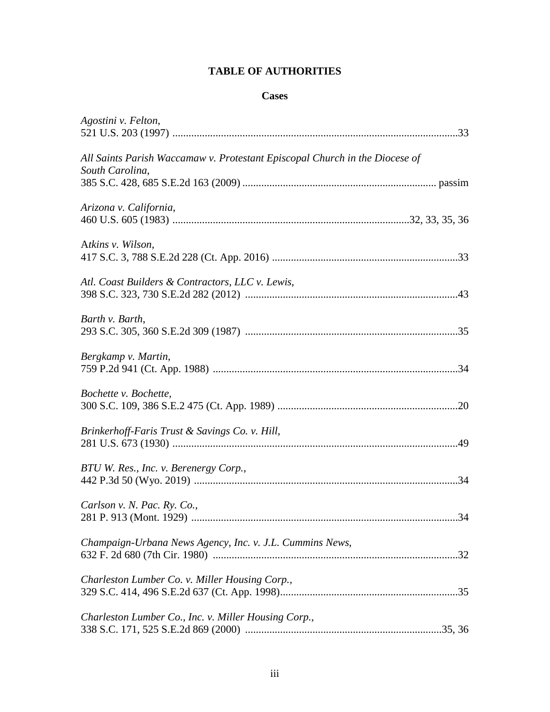# **TABLE OF AUTHORITIES**

# **Cases**

| Agostini v. Felton,                                                                            |
|------------------------------------------------------------------------------------------------|
| All Saints Parish Waccamaw v. Protestant Episcopal Church in the Diocese of<br>South Carolina, |
| Arizona v. California,                                                                         |
| Atkins v. Wilson,                                                                              |
| Atl. Coast Builders & Contractors, LLC v. Lewis,                                               |
| Barth v. Barth,                                                                                |
| Bergkamp v. Martin,                                                                            |
| Bochette v. Bochette,                                                                          |
| Brinkerhoff-Faris Trust & Savings Co. v. Hill,                                                 |
| BTU W. Res., Inc. v. Berenergy Corp.,                                                          |
| Carlson v. N. Pac. Ry. Co.,                                                                    |
| Champaign-Urbana News Agency, Inc. v. J.L. Cummins News,                                       |
| Charleston Lumber Co. v. Miller Housing Corp.,                                                 |
| Charleston Lumber Co., Inc. v. Miller Housing Corp.,                                           |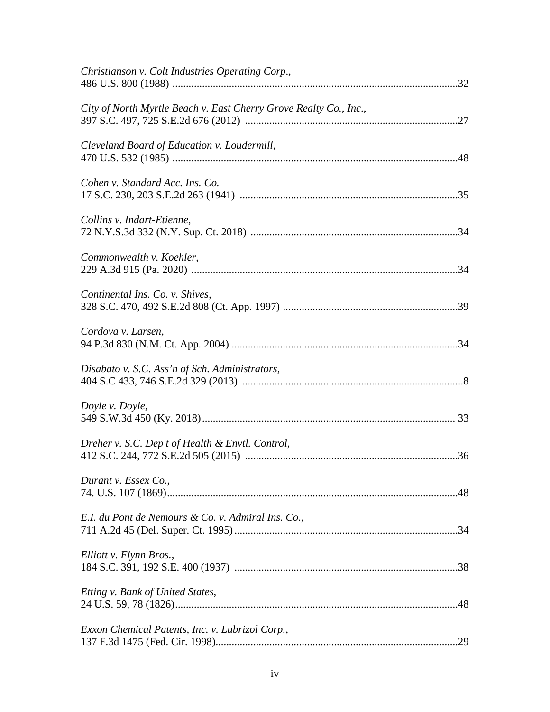| Christianson v. Colt Industries Operating Corp.,                  |  |
|-------------------------------------------------------------------|--|
| City of North Myrtle Beach v. East Cherry Grove Realty Co., Inc., |  |
| Cleveland Board of Education v. Loudermill,                       |  |
| Cohen v. Standard Acc. Ins. Co.                                   |  |
| Collins v. Indart-Etienne,                                        |  |
| Commonwealth v. Koehler,                                          |  |
| Continental Ins. Co. v. Shives,                                   |  |
| Cordova v. Larsen,                                                |  |
| Disabato v. S.C. Ass'n of Sch. Administrators,                    |  |
| Doyle v. Doyle,                                                   |  |
| Dreher v. S.C. Dep't of Health & Envtl. Control,                  |  |
| Durant v. Essex Co.,                                              |  |
| E.I. du Pont de Nemours & Co. v. Admiral Ins. Co.,                |  |
| Elliott v. Flynn Bros.,                                           |  |
| Etting v. Bank of United States,                                  |  |
| Exxon Chemical Patents, Inc. v. Lubrizol Corp.,                   |  |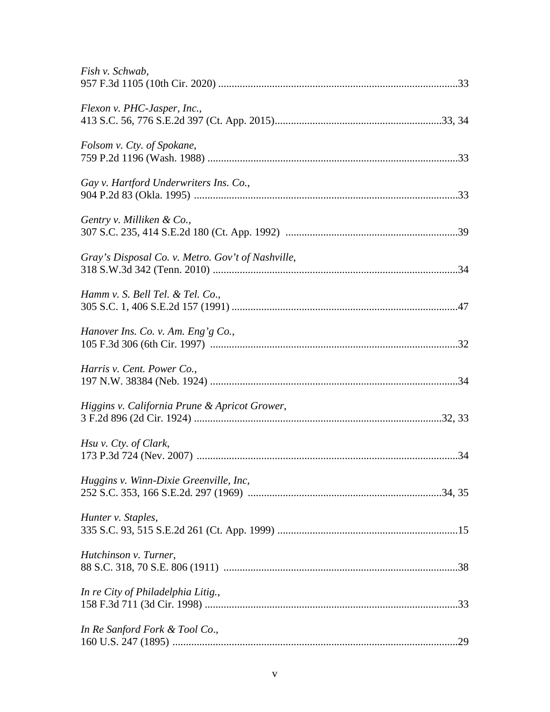| Fish v. Schwab,                                   |
|---------------------------------------------------|
| Flexon v. PHC-Jasper, Inc.,                       |
| Folsom v. Cty. of Spokane,                        |
| Gay v. Hartford Underwriters Ins. Co.,            |
| Gentry v. Milliken & Co.,                         |
| Gray's Disposal Co. v. Metro. Gov't of Nashville, |
| Hamm v. S. Bell Tel. & Tel. Co.,                  |
| Hanover Ins. Co. v. Am. Eng'g Co.,                |
| Harris v. Cent. Power Co.,                        |
| Higgins v. California Prune & Apricot Grower,     |
| Hsu v. Cty. of Clark,                             |
| Huggins v. Winn-Dixie Greenville, Inc,            |
| Hunter v. Staples,                                |
| Hutchinson v. Turner,                             |
| In re City of Philadelphia Litig.,                |
| In Re Sanford Fork & Tool Co.,                    |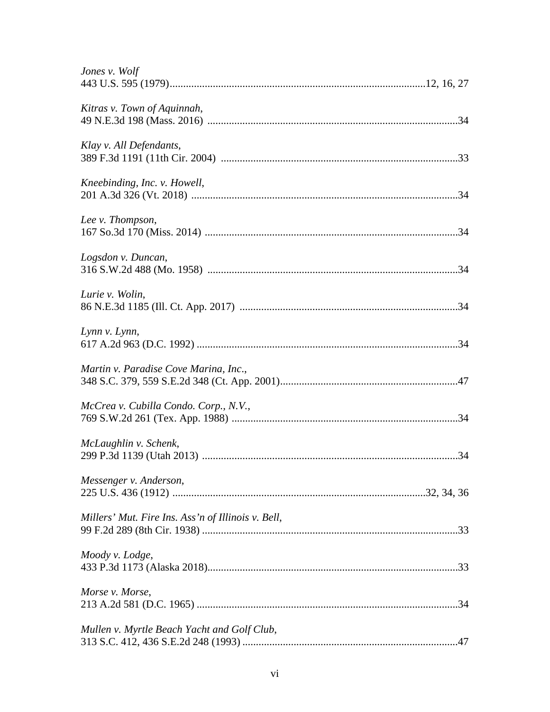| Jones v. Wolf                                      |  |
|----------------------------------------------------|--|
| Kitras v. Town of Aquinnah,                        |  |
| Klay v. All Defendants,                            |  |
| Kneebinding, Inc. v. Howell,                       |  |
| Lee v. Thompson,                                   |  |
| Logsdon v. Duncan,                                 |  |
| Lurie v. Wolin,                                    |  |
| Lynn v. Lynn,                                      |  |
| Martin v. Paradise Cove Marina, Inc.,              |  |
| McCrea v. Cubilla Condo. Corp., N.V.,              |  |
| McLaughlin v. Schenk,                              |  |
| Messenger v. Anderson,                             |  |
| Millers' Mut. Fire Ins. Ass'n of Illinois v. Bell, |  |
| Moody v. Lodge,                                    |  |
| Morse v. Morse,                                    |  |
| Mullen v. Myrtle Beach Yacht and Golf Club,        |  |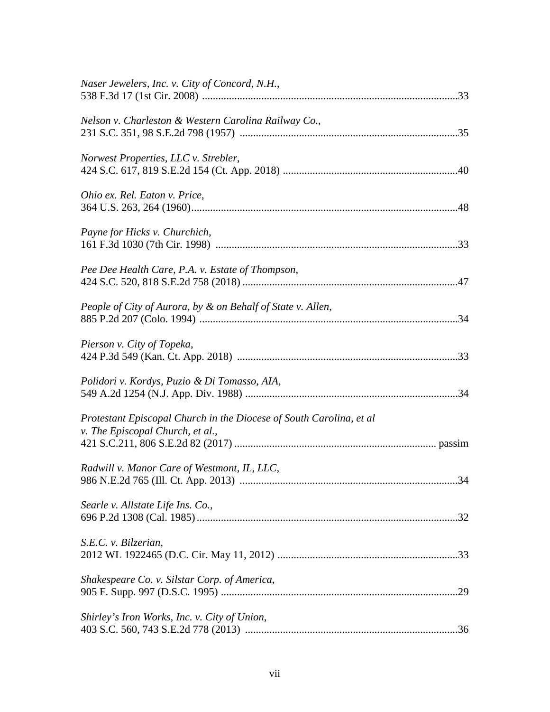| Naser Jewelers, Inc. v. City of Concord, N.H.,                                                          |
|---------------------------------------------------------------------------------------------------------|
| Nelson v. Charleston & Western Carolina Railway Co.,                                                    |
| Norwest Properties, LLC v. Strebler,                                                                    |
| Ohio ex. Rel. Eaton v. Price,                                                                           |
| Payne for Hicks v. Churchich,                                                                           |
| Pee Dee Health Care, P.A. v. Estate of Thompson,                                                        |
| People of City of Aurora, by & on Behalf of State v. Allen,                                             |
| Pierson v. City of Topeka,                                                                              |
| Polidori v. Kordys, Puzio & Di Tomasso, AIA,                                                            |
| Protestant Episcopal Church in the Diocese of South Carolina, et al<br>v. The Episcopal Church, et al., |
| Radwill v. Manor Care of Westmont, IL, LLC,<br>34                                                       |
| Searle v. Allstate Life Ins. Co.,                                                                       |
| S.E.C. v. Bilzerian,                                                                                    |
| Shakespeare Co. v. Silstar Corp. of America,                                                            |
| Shirley's Iron Works, Inc. v. City of Union,                                                            |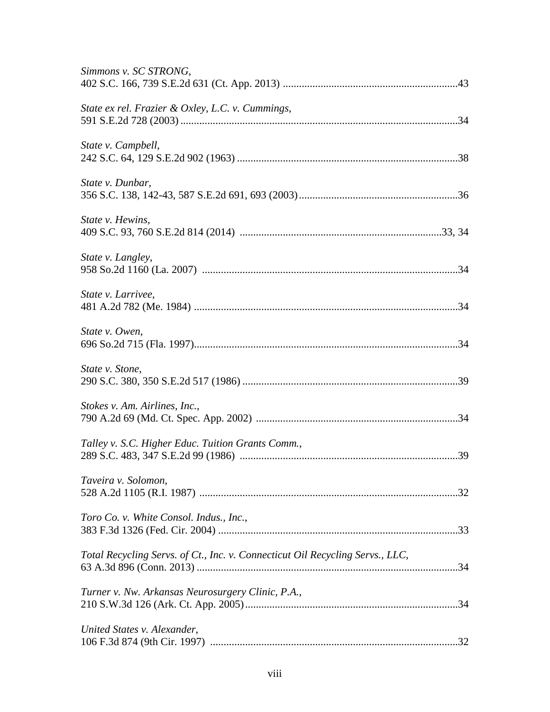| Simmons v. SC STRONG,                                                         |  |
|-------------------------------------------------------------------------------|--|
| State ex rel. Frazier & Oxley, L.C. v. Cummings,                              |  |
| State v. Campbell,                                                            |  |
| State v. Dunbar,                                                              |  |
| State v. Hewins,                                                              |  |
| State v. Langley,                                                             |  |
| State v. Larrivee,                                                            |  |
| State v. Owen,                                                                |  |
| State v. Stone,                                                               |  |
| Stokes v. Am. Airlines, Inc.,                                                 |  |
| Talley v. S.C. Higher Educ. Tuition Grants Comm.,                             |  |
| Taveira v. Solomon,                                                           |  |
| Toro Co. v. White Consol. Indus., Inc.,                                       |  |
| Total Recycling Servs. of Ct., Inc. v. Connecticut Oil Recycling Servs., LLC, |  |
| Turner v. Nw. Arkansas Neurosurgery Clinic, P.A.,                             |  |
| United States v. Alexander,                                                   |  |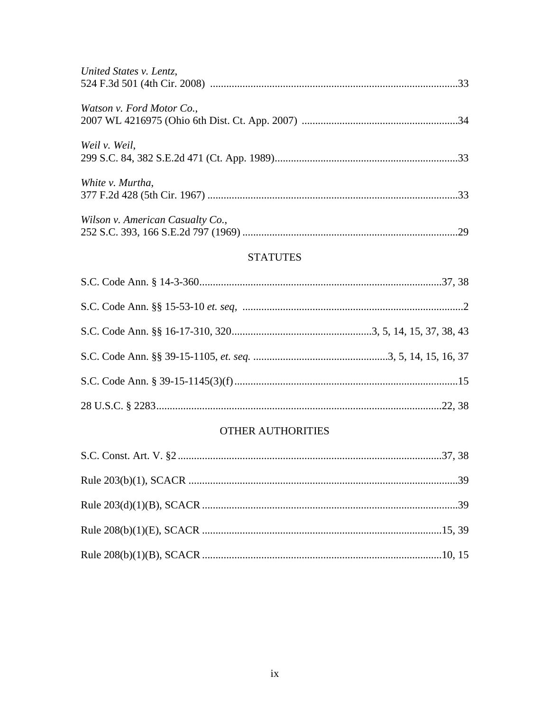| United States v. Lentz,          |    |
|----------------------------------|----|
| Watson v. Ford Motor Co.,        |    |
| Weil v. Weil,                    |    |
| White v. Murtha,                 |    |
| Wilson v. American Casualty Co., | 29 |

# **STATUTES**

# **OTHER AUTHORITIES**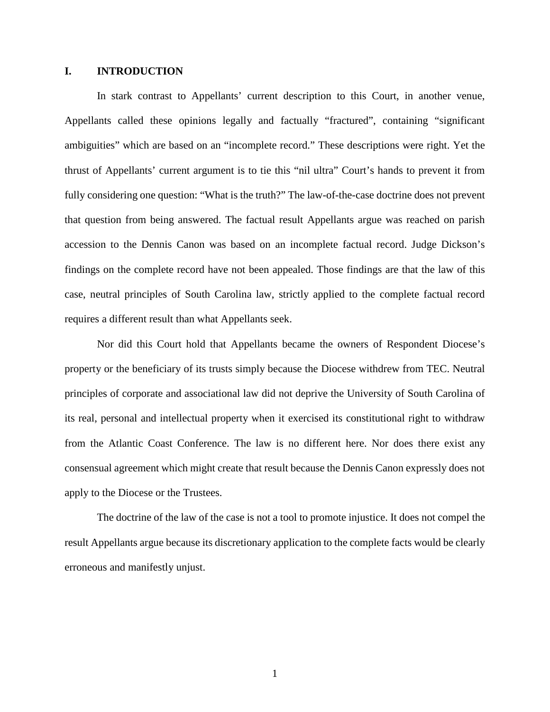#### **I. INTRODUCTION**

In stark contrast to Appellants' current description to this Court, in another venue, Appellants called these opinions legally and factually "fractured", containing "significant ambiguities" which are based on an "incomplete record." These descriptions were right. Yet the thrust of Appellants' current argument is to tie this "nil ultra" Court's hands to prevent it from fully considering one question: "What is the truth?" The law-of-the-case doctrine does not prevent that question from being answered. The factual result Appellants argue was reached on parish accession to the Dennis Canon was based on an incomplete factual record. Judge Dickson's findings on the complete record have not been appealed. Those findings are that the law of this case, neutral principles of South Carolina law, strictly applied to the complete factual record requires a different result than what Appellants seek.

Nor did this Court hold that Appellants became the owners of Respondent Diocese's property or the beneficiary of its trusts simply because the Diocese withdrew from TEC. Neutral principles of corporate and associational law did not deprive the University of South Carolina of its real, personal and intellectual property when it exercised its constitutional right to withdraw from the Atlantic Coast Conference. The law is no different here. Nor does there exist any consensual agreement which might create that result because the Dennis Canon expressly does not apply to the Diocese or the Trustees.

The doctrine of the law of the case is not a tool to promote injustice. It does not compel the result Appellants argue because its discretionary application to the complete facts would be clearly erroneous and manifestly unjust.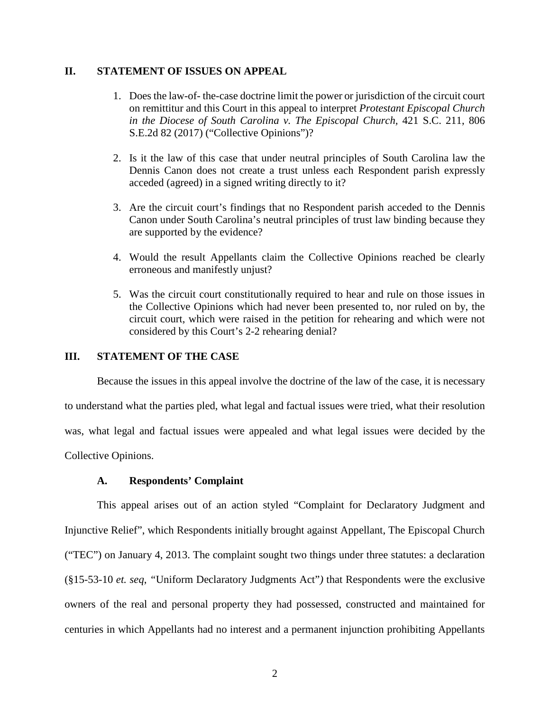## **II. STATEMENT OF ISSUES ON APPEAL**

- 1. Does the law-of- the-case doctrine limit the power or jurisdiction of the circuit court on remittitur and this Court in this appeal to interpret *Protestant Episcopal Church in the Diocese of South Carolina v. The Episcopal Church,* 421 S.C. 211, 806 S.E.2d 82 (2017) ("Collective Opinions")?
- 2. Is it the law of this case that under neutral principles of South Carolina law the Dennis Canon does not create a trust unless each Respondent parish expressly acceded (agreed) in a signed writing directly to it?
- 3. Are the circuit court's findings that no Respondent parish acceded to the Dennis Canon under South Carolina's neutral principles of trust law binding because they are supported by the evidence?
- 4. Would the result Appellants claim the Collective Opinions reached be clearly erroneous and manifestly unjust?
- 5. Was the circuit court constitutionally required to hear and rule on those issues in the Collective Opinions which had never been presented to, nor ruled on by, the circuit court, which were raised in the petition for rehearing and which were not considered by this Court's 2-2 rehearing denial?

## **III. STATEMENT OF THE CASE**

Because the issues in this appeal involve the doctrine of the law of the case, it is necessary to understand what the parties pled, what legal and factual issues were tried, what their resolution was, what legal and factual issues were appealed and what legal issues were decided by the Collective Opinions.

#### **A. Respondents' Complaint**

This appeal arises out of an action styled "Complaint for Declaratory Judgment and Injunctive Relief", which Respondents initially brought against Appellant, The Episcopal Church ("TEC") on January 4, 2013. The complaint sought two things under three statutes: a declaration (§15-53-10 *et. seq*, *"*Uniform Declaratory Judgments Act"*)* that Respondents were the exclusive owners of the real and personal property they had possessed, constructed and maintained for centuries in which Appellants had no interest and a permanent injunction prohibiting Appellants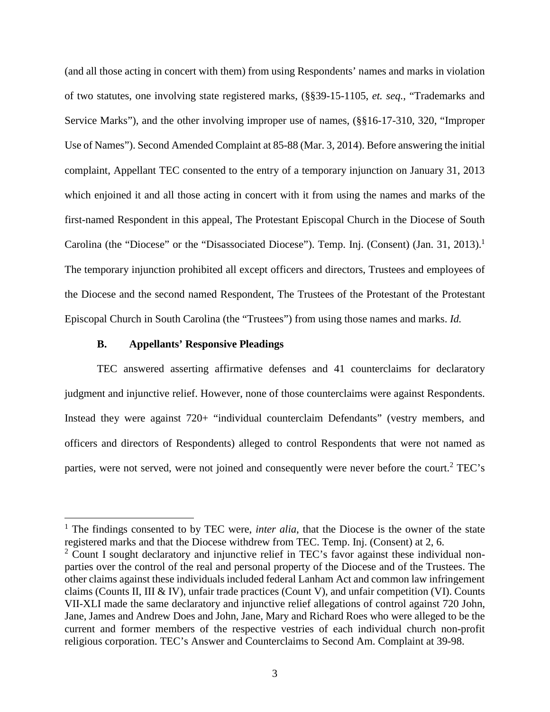(and all those acting in concert with them) from using Respondents' names and marks in violation of two statutes, one involving state registered marks, (§§39-15-1105, *et. seq.*, "Trademarks and Service Marks"), and the other involving improper use of names, (§§16-17-310, 320, "Improper Use of Names"). Second Amended Complaint at 85-88 (Mar. 3, 2014). Before answering the initial complaint, Appellant TEC consented to the entry of a temporary injunction on January 31, 2013 which enjoined it and all those acting in concert with it from using the names and marks of the first-named Respondent in this appeal, The Protestant Episcopal Church in the Diocese of South Carolina (the "Diocese" or the "Disassociated Diocese"). Temp. Inj. (Consent) (Jan. 31, 2013).<sup>1</sup> The temporary injunction prohibited all except officers and directors, Trustees and employees of the Diocese and the second named Respondent, The Trustees of the Protestant of the Protestant Episcopal Church in South Carolina (the "Trustees") from using those names and marks. *Id.*

#### **B. Appellants' Responsive Pleadings**

TEC answered asserting affirmative defenses and 41 counterclaims for declaratory judgment and injunctive relief. However, none of those counterclaims were against Respondents. Instead they were against 720+ "individual counterclaim Defendants" (vestry members, and officers and directors of Respondents) alleged to control Respondents that were not named as parties, were not served, were not joined and consequently were never before the court.<sup>2</sup> TEC's

<sup>&</sup>lt;sup>1</sup> The findings consented to by TEC were, *inter alia*, that the Diocese is the owner of the state registered marks and that the Diocese withdrew from TEC. Temp. Inj. (Consent) at 2, 6.

<sup>&</sup>lt;sup>2</sup> Count I sought declaratory and injunctive relief in TEC's favor against these individual nonparties over the control of the real and personal property of the Diocese and of the Trustees. The other claims against these individuals included federal Lanham Act and common law infringement claims (Counts II, III & IV), unfair trade practices (Count V), and unfair competition (VI). Counts VII-XLI made the same declaratory and injunctive relief allegations of control against 720 John, Jane, James and Andrew Does and John, Jane, Mary and Richard Roes who were alleged to be the current and former members of the respective vestries of each individual church non-profit religious corporation. TEC's Answer and Counterclaims to Second Am. Complaint at 39-98.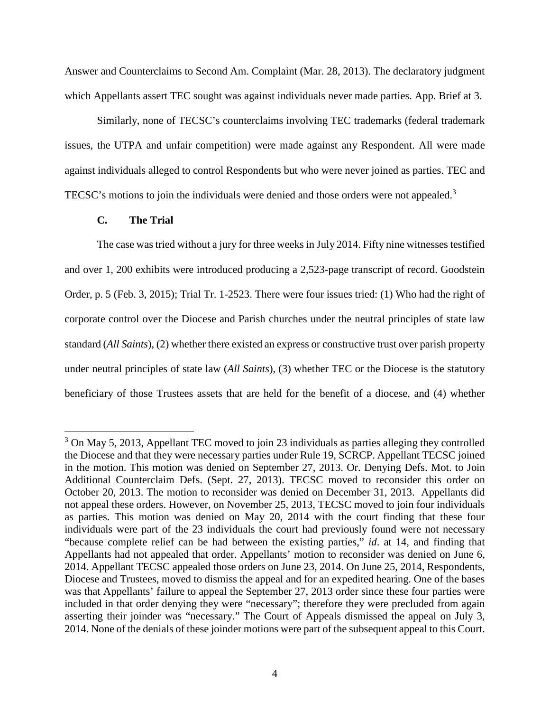Answer and Counterclaims to Second Am. Complaint (Mar. 28, 2013). The declaratory judgment which Appellants assert TEC sought was against individuals never made parties. App. Brief at 3.

Similarly, none of TECSC's counterclaims involving TEC trademarks (federal trademark issues, the UTPA and unfair competition) were made against any Respondent. All were made against individuals alleged to control Respondents but who were never joined as parties. TEC and TECSC's motions to join the individuals were denied and those orders were not appealed.<sup>3</sup>

#### **C. The Trial**

The case was tried without a jury for three weeks in July 2014. Fifty nine witnesses testified and over 1, 200 exhibits were introduced producing a 2,523-page transcript of record. Goodstein Order, p. 5 (Feb. 3, 2015); Trial Tr. 1-2523. There were four issues tried: (1) Who had the right of corporate control over the Diocese and Parish churches under the neutral principles of state law standard (*All Saints*), (2) whether there existed an express or constructive trust over parish property under neutral principles of state law (*All Saints*), (3) whether TEC or the Diocese is the statutory beneficiary of those Trustees assets that are held for the benefit of a diocese, and (4) whether

 $3$  On May 5, 2013, Appellant TEC moved to join 23 individuals as parties alleging they controlled the Diocese and that they were necessary parties under Rule 19, SCRCP. Appellant TECSC joined in the motion. This motion was denied on September 27, 2013. Or. Denying Defs. Mot. to Join Additional Counterclaim Defs. (Sept. 27, 2013). TECSC moved to reconsider this order on October 20, 2013. The motion to reconsider was denied on December 31, 2013. Appellants did not appeal these orders. However, on November 25, 2013, TECSC moved to join four individuals as parties. This motion was denied on May 20, 2014 with the court finding that these four individuals were part of the 23 individuals the court had previously found were not necessary "because complete relief can be had between the existing parties," *id*. at 14, and finding that Appellants had not appealed that order. Appellants' motion to reconsider was denied on June 6, 2014. Appellant TECSC appealed those orders on June 23, 2014. On June 25, 2014, Respondents, Diocese and Trustees, moved to dismiss the appeal and for an expedited hearing. One of the bases was that Appellants' failure to appeal the September 27, 2013 order since these four parties were included in that order denying they were "necessary"; therefore they were precluded from again asserting their joinder was "necessary." The Court of Appeals dismissed the appeal on July 3, 2014. None of the denials of these joinder motions were part of the subsequent appeal to this Court.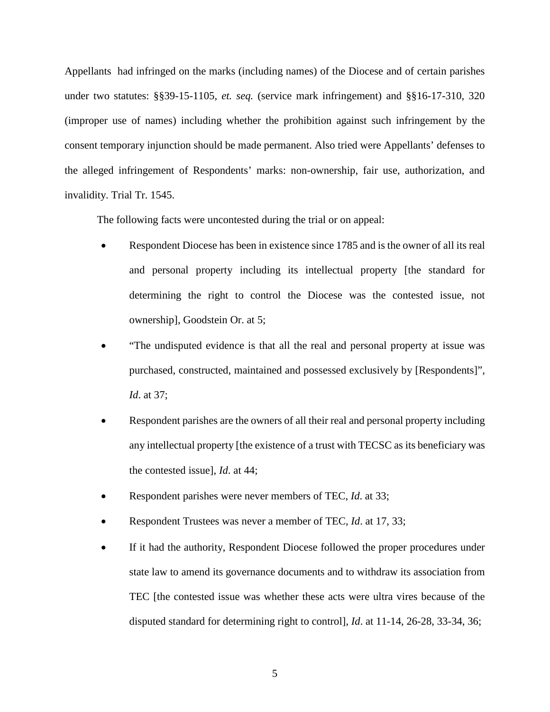Appellants had infringed on the marks (including names) of the Diocese and of certain parishes under two statutes: §§39-15-1105, *et. seq.* (service mark infringement) and §§16-17-310, 320 (improper use of names) including whether the prohibition against such infringement by the consent temporary injunction should be made permanent. Also tried were Appellants' defenses to the alleged infringement of Respondents' marks: non-ownership, fair use, authorization, and invalidity. Trial Tr. 1545.

The following facts were uncontested during the trial or on appeal:

- Respondent Diocese has been in existence since 1785 and is the owner of all its real and personal property including its intellectual property [the standard for determining the right to control the Diocese was the contested issue, not ownership], Goodstein Or. at 5;
- "The undisputed evidence is that all the real and personal property at issue was purchased, constructed, maintained and possessed exclusively by [Respondents]", *Id*. at 37;
- Respondent parishes are the owners of all their real and personal property including any intellectual property [the existence of a trust with TECSC as its beneficiary was the contested issue], *Id*. at 44;
- Respondent parishes were never members of TEC, *Id*. at 33;
- Respondent Trustees was never a member of TEC, *Id*. at 17, 33;
- If it had the authority, Respondent Diocese followed the proper procedures under state law to amend its governance documents and to withdraw its association from TEC [the contested issue was whether these acts were ultra vires because of the disputed standard for determining right to control], *Id*. at 11-14, 26-28, 33-34, 36;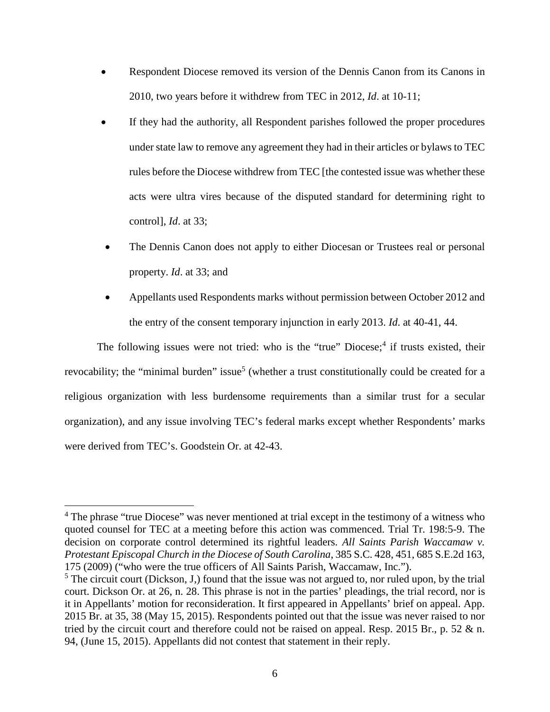- Respondent Diocese removed its version of the Dennis Canon from its Canons in 2010, two years before it withdrew from TEC in 2012, *Id*. at 10-11;
- If they had the authority, all Respondent parishes followed the proper procedures under state law to remove any agreement they had in their articles or bylaws to TEC rules before the Diocese withdrew from TEC [the contested issue was whether these acts were ultra vires because of the disputed standard for determining right to control], *Id*. at 33;
- The Dennis Canon does not apply to either Diocesan or Trustees real or personal property. *Id*. at 33; and
- Appellants used Respondents marks without permission between October 2012 and the entry of the consent temporary injunction in early 2013. *Id*. at 40-41, 44.

The following issues were not tried: who is the "true" Diocese;<sup>4</sup> if trusts existed, their revocability; the "minimal burden" issue<sup>5</sup> (whether a trust constitutionally could be created for a religious organization with less burdensome requirements than a similar trust for a secular organization), and any issue involving TEC's federal marks except whether Respondents' marks were derived from TEC's. Goodstein Or. at 42-43.

<sup>&</sup>lt;sup>4</sup> The phrase "true Diocese" was never mentioned at trial except in the testimony of a witness who quoted counsel for TEC at a meeting before this action was commenced. Trial Tr. 198:5-9. The decision on corporate control determined its rightful leaders. *All Saints Parish Waccamaw v. Protestant Episcopal Church in the Diocese of South Carolina*, 385 S.C. 428, 451, 685 S.E.2d 163, 175 (2009) ("who were the true officers of All Saints Parish, Waccamaw, Inc.").

 $<sup>5</sup>$  The circuit court (Dickson, J,) found that the issue was not argued to, nor ruled upon, by the trial</sup> court. Dickson Or. at 26, n. 28. This phrase is not in the parties' pleadings, the trial record, nor is it in Appellants' motion for reconsideration. It first appeared in Appellants' brief on appeal. App. 2015 Br. at 35, 38 (May 15, 2015). Respondents pointed out that the issue was never raised to nor tried by the circuit court and therefore could not be raised on appeal. Resp. 2015 Br., p. 52 & n. 94, (June 15, 2015). Appellants did not contest that statement in their reply.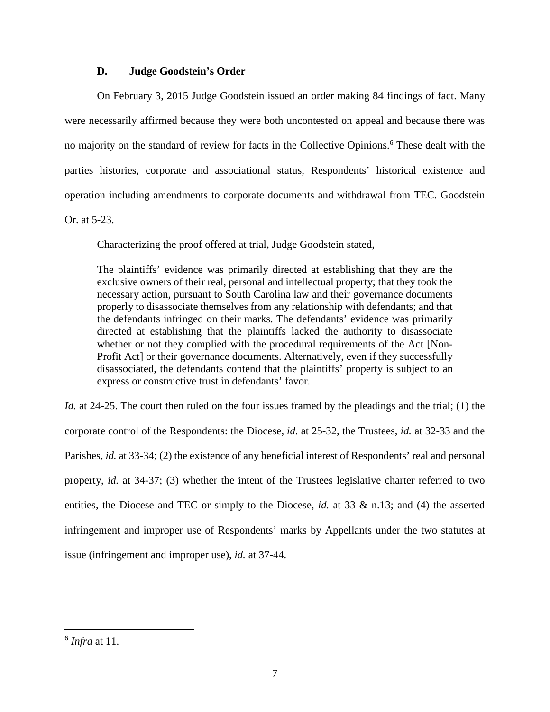## **D. Judge Goodstein's Order**

On February 3, 2015 Judge Goodstein issued an order making 84 findings of fact. Many were necessarily affirmed because they were both uncontested on appeal and because there was no majority on the standard of review for facts in the Collective Opinions.<sup>6</sup> These dealt with the parties histories, corporate and associational status, Respondents' historical existence and operation including amendments to corporate documents and withdrawal from TEC. Goodstein Or. at 5-23.

Characterizing the proof offered at trial, Judge Goodstein stated,

The plaintiffs' evidence was primarily directed at establishing that they are the exclusive owners of their real, personal and intellectual property; that they took the necessary action, pursuant to South Carolina law and their governance documents properly to disassociate themselves from any relationship with defendants; and that the defendants infringed on their marks. The defendants' evidence was primarily directed at establishing that the plaintiffs lacked the authority to disassociate whether or not they complied with the procedural requirements of the Act [Non-Profit Act] or their governance documents. Alternatively, even if they successfully disassociated, the defendants contend that the plaintiffs' property is subject to an express or constructive trust in defendants' favor.

*Id.* at 24-25. The court then ruled on the four issues framed by the pleadings and the trial; (1) the corporate control of the Respondents: the Diocese, *id*. at 25-32, the Trustees, *id.* at 32-33 and the Parishes, *id.* at 33-34; (2) the existence of any beneficial interest of Respondents' real and personal property, *id.* at 34-37; (3) whether the intent of the Trustees legislative charter referred to two entities, the Diocese and TEC or simply to the Diocese, *id.* at 33 & n.13; and (4) the asserted infringement and improper use of Respondents' marks by Appellants under the two statutes at issue (infringement and improper use), *id.* at 37-44*.*

<sup>6</sup> *Infra* at 11.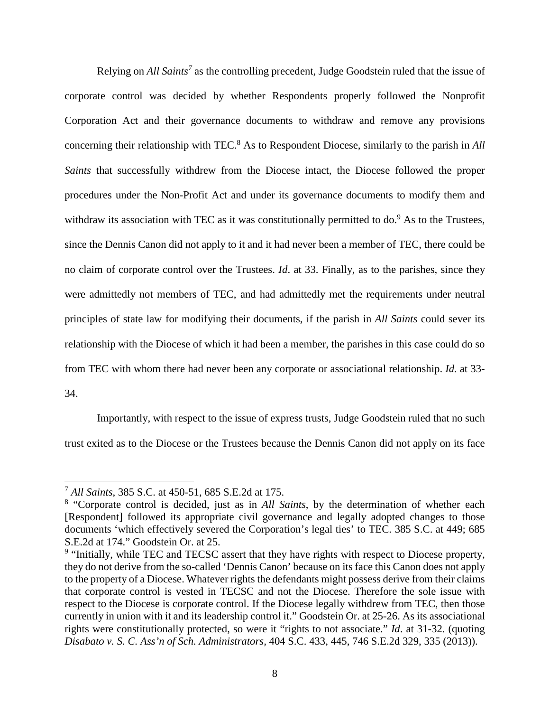Relying on *All Saints<sup>7</sup>* as the controlling precedent, Judge Goodstein ruled that the issue of corporate control was decided by whether Respondents properly followed the Nonprofit Corporation Act and their governance documents to withdraw and remove any provisions concerning their relationship with TEC.<sup>8</sup> As to Respondent Diocese, similarly to the parish in *All Saints* that successfully withdrew from the Diocese intact, the Diocese followed the proper procedures under the Non-Profit Act and under its governance documents to modify them and withdraw its association with TEC as it was constitutionally permitted to  $do.<sup>9</sup>$  As to the Trustees, since the Dennis Canon did not apply to it and it had never been a member of TEC, there could be no claim of corporate control over the Trustees. *Id*. at 33. Finally, as to the parishes, since they were admittedly not members of TEC, and had admittedly met the requirements under neutral principles of state law for modifying their documents, if the parish in *All Saints* could sever its relationship with the Diocese of which it had been a member, the parishes in this case could do so from TEC with whom there had never been any corporate or associational relationship. *Id.* at 33- 34.

Importantly, with respect to the issue of express trusts, Judge Goodstein ruled that no such trust exited as to the Diocese or the Trustees because the Dennis Canon did not apply on its face

<sup>7</sup> *All Saints*, 385 S.C. at 450-51, 685 S.E.2d at 175.

<sup>&</sup>lt;sup>8</sup> "Corporate control is decided, just as in *All Saints*, by the determination of whether each [Respondent] followed its appropriate civil governance and legally adopted changes to those documents 'which effectively severed the Corporation's legal ties' to TEC. 385 S.C. at 449; 685 S.E.2d at 174." Goodstein Or. at 25.

<sup>&</sup>lt;sup>9</sup> "Initially, while TEC and TECSC assert that they have rights with respect to Diocese property, they do not derive from the so-called 'Dennis Canon' because on its face this Canon does not apply to the property of a Diocese. Whatever rights the defendants might possess derive from their claims that corporate control is vested in TECSC and not the Diocese. Therefore the sole issue with respect to the Diocese is corporate control. If the Diocese legally withdrew from TEC, then those currently in union with it and its leadership control it." Goodstein Or. at 25-26. As its associational rights were constitutionally protected, so were it "rights to not associate." *Id*. at 31-32. (quoting *Disabato v. S. C. Ass'n of Sch. Administrators,* 404 S.C. 433, 445, 746 S.E.2d 329, 335 (2013)).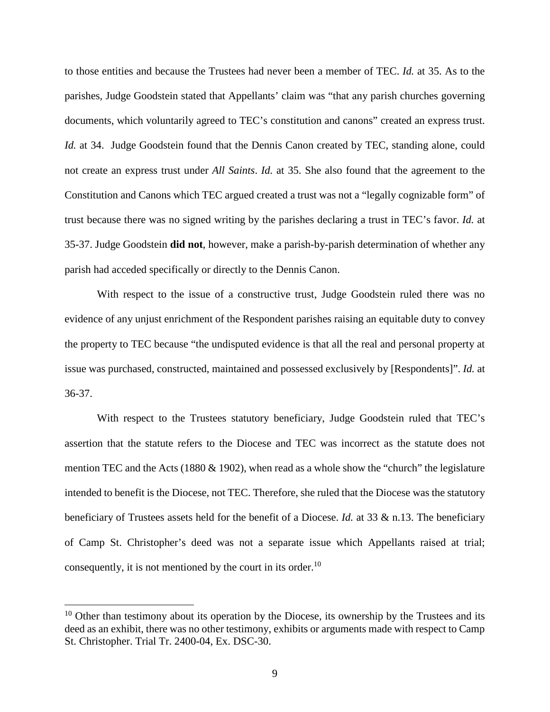to those entities and because the Trustees had never been a member of TEC. *Id.* at 35. As to the parishes, Judge Goodstein stated that Appellants' claim was "that any parish churches governing documents, which voluntarily agreed to TEC's constitution and canons" created an express trust. *Id.* at 34. Judge Goodstein found that the Dennis Canon created by TEC, standing alone, could not create an express trust under *All Saints*. *Id.* at 35. She also found that the agreement to the Constitution and Canons which TEC argued created a trust was not a "legally cognizable form" of trust because there was no signed writing by the parishes declaring a trust in TEC's favor. *Id.* at 35-37. Judge Goodstein **did not**, however, make a parish-by-parish determination of whether any parish had acceded specifically or directly to the Dennis Canon.

With respect to the issue of a constructive trust, Judge Goodstein ruled there was no evidence of any unjust enrichment of the Respondent parishes raising an equitable duty to convey the property to TEC because "the undisputed evidence is that all the real and personal property at issue was purchased, constructed, maintained and possessed exclusively by [Respondents]". *Id.* at 36-37.

With respect to the Trustees statutory beneficiary, Judge Goodstein ruled that TEC's assertion that the statute refers to the Diocese and TEC was incorrect as the statute does not mention TEC and the Acts (1880  $\&$  1902), when read as a whole show the "church" the legislature intended to benefit is the Diocese, not TEC. Therefore, she ruled that the Diocese was the statutory beneficiary of Trustees assets held for the benefit of a Diocese. *Id.* at 33 & n.13. The beneficiary of Camp St. Christopher's deed was not a separate issue which Appellants raised at trial; consequently, it is not mentioned by the court in its order.<sup>10</sup>

 $10$  Other than testimony about its operation by the Diocese, its ownership by the Trustees and its deed as an exhibit, there was no other testimony, exhibits or arguments made with respect to Camp St. Christopher. Trial Tr. 2400-04, Ex. DSC-30.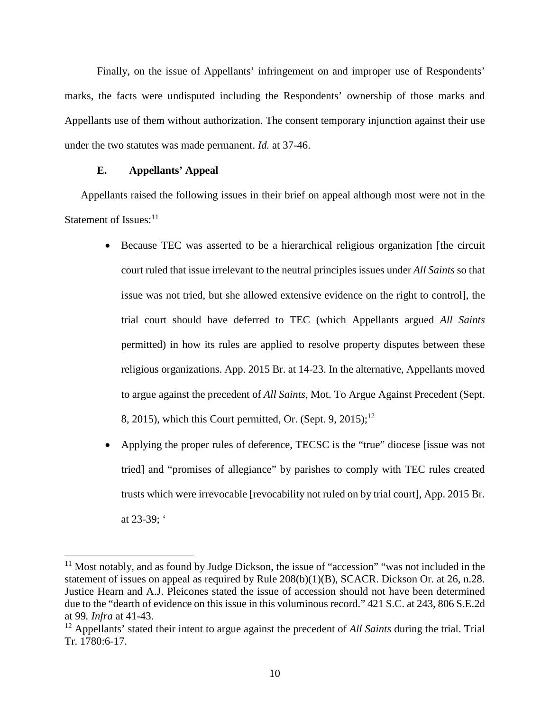Finally, on the issue of Appellants' infringement on and improper use of Respondents' marks, the facts were undisputed including the Respondents' ownership of those marks and Appellants use of them without authorization. The consent temporary injunction against their use under the two statutes was made permanent. *Id.* at 37-46.

#### **E. Appellants' Appeal**

Appellants raised the following issues in their brief on appeal although most were not in the Statement of Issues: $11$ 

- Because TEC was asserted to be a hierarchical religious organization [the circuit court ruled that issue irrelevant to the neutral principles issues under *All Saints* so that issue was not tried, but she allowed extensive evidence on the right to control], the trial court should have deferred to TEC (which Appellants argued *All Saints* permitted) in how its rules are applied to resolve property disputes between these religious organizations. App. 2015 Br. at 14-23. In the alternative, Appellants moved to argue against the precedent of *All Saints,* Mot. To Argue Against Precedent (Sept. 8, 2015), which this Court permitted, Or. (Sept. 9, 2015);<sup>12</sup>
- Applying the proper rules of deference, TECSC is the "true" diocese [issue was not tried] and "promises of allegiance" by parishes to comply with TEC rules created trusts which were irrevocable [revocability not ruled on by trial court], App. 2015 Br. at 23-39; '

<sup>&</sup>lt;sup>11</sup> Most notably, and as found by Judge Dickson, the issue of "accession" "was not included in the statement of issues on appeal as required by Rule 208(b)(1)(B), SCACR. Dickson Or. at 26, n.28. Justice Hearn and A.J. Pleicones stated the issue of accession should not have been determined due to the "dearth of evidence on this issue in this voluminous record." 421 S.C. at 243, 806 S.E.2d at 99*. Infra* at 41-43.

<sup>12</sup> Appellants' stated their intent to argue against the precedent of *All Saints* during the trial. Trial Tr. 1780:6-17.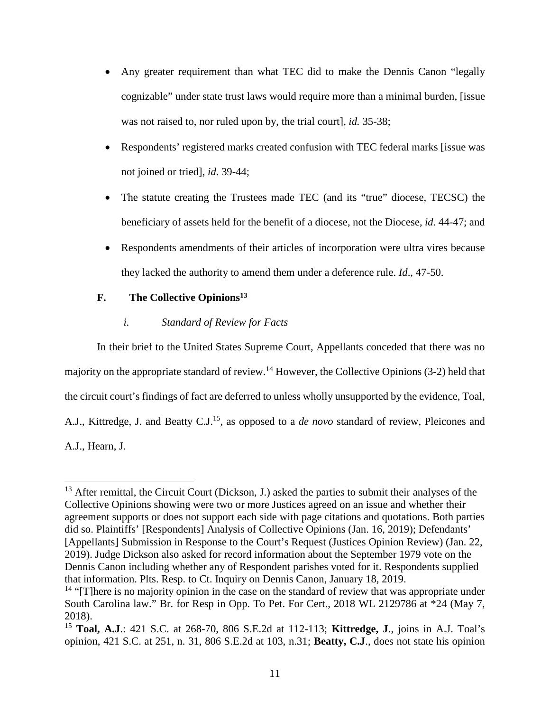- Any greater requirement than what TEC did to make the Dennis Canon "legally cognizable" under state trust laws would require more than a minimal burden, [issue was not raised to, nor ruled upon by, the trial court], *id.* 35-38;
- Respondents' registered marks created confusion with TEC federal marks [issue was not joined or tried], *id*. 39-44;
- The statute creating the Trustees made TEC (and its "true" diocese, TECSC) the beneficiary of assets held for the benefit of a diocese, not the Diocese, *id.* 44-47; and
- Respondents amendments of their articles of incorporation were ultra vires because they lacked the authority to amend them under a deference rule. *Id*., 47-50.

# **F. The Collective Opinions<sup>13</sup>**

# *i. Standard of Review for Facts*

In their brief to the United States Supreme Court, Appellants conceded that there was no majority on the appropriate standard of review.<sup>14</sup> However, the Collective Opinions  $(3-2)$  held that the circuit court's findings of fact are deferred to unless wholly unsupported by the evidence, Toal, A.J., Kittredge, J. and Beatty C.J.<sup>15</sup>, as opposed to a *de novo* standard of review*,* Pleicones and A.J., Hearn, J.

<sup>&</sup>lt;sup>13</sup> After remittal, the Circuit Court (Dickson, J.) asked the parties to submit their analyses of the Collective Opinions showing were two or more Justices agreed on an issue and whether their agreement supports or does not support each side with page citations and quotations. Both parties did so. Plaintiffs' [Respondents] Analysis of Collective Opinions (Jan. 16, 2019); Defendants' [Appellants] Submission in Response to the Court's Request (Justices Opinion Review) (Jan. 22, 2019). Judge Dickson also asked for record information about the September 1979 vote on the Dennis Canon including whether any of Respondent parishes voted for it. Respondents supplied that information. Plts. Resp. to Ct. Inquiry on Dennis Canon, January 18, 2019.

 $14$  "[T]here is no majority opinion in the case on the standard of review that was appropriate under South Carolina law." Br. for Resp in Opp. To Pet. For Cert., 2018 WL 2129786 at \*24 (May 7, 2018).

<sup>15</sup> **Toal, A.J**.: 421 S.C. at 268-70, 806 S.E.2d at 112-113; **Kittredge, J**., joins in A.J. Toal's opinion, 421 S.C. at 251, n. 31, 806 S.E.2d at 103, n.31; **Beatty, C.J**., does not state his opinion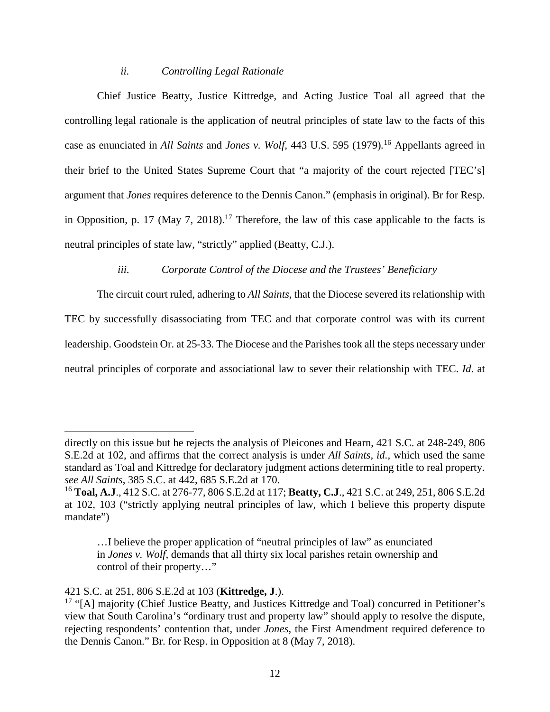#### *ii. Controlling Legal Rationale*

Chief Justice Beatty, Justice Kittredge, and Acting Justice Toal all agreed that the controlling legal rationale is the application of neutral principles of state law to the facts of this case as enunciated in *All Saints* and *Jones v. Wolf,* 443 U.S. 595 (1979)*.* <sup>16</sup> Appellants agreed in their brief to the United States Supreme Court that "a majority of the court rejected [TEC's] argument that *Jones* requires deference to the Dennis Canon." (emphasis in original). Br for Resp. in Opposition, p. 17 (May 7, 2018).<sup>17</sup> Therefore, the law of this case applicable to the facts is neutral principles of state law, "strictly" applied (Beatty, C.J.).

#### *iii. Corporate Control of the Diocese and the Trustees' Beneficiary*

The circuit court ruled, adhering to *All Saints*, that the Diocese severed its relationship with TEC by successfully disassociating from TEC and that corporate control was with its current leadership. Goodstein Or. at 25-33. The Diocese and the Parishes took all the steps necessary under neutral principles of corporate and associational law to sever their relationship with TEC. *Id*. at

directly on this issue but he rejects the analysis of Pleicones and Hearn, 421 S.C. at 248-249, 806 S.E.2d at 102, and affirms that the correct analysis is under *All Saints, id.,* which used the same standard as Toal and Kittredge for declaratory judgment actions determining title to real property. *see All Saints*, 385 S.C. at 442, 685 S.E.2d at 170.

<sup>16</sup> **Toal, A.J**., 412 S.C. at 276-77, 806 S.E.2d at 117; **Beatty, C.J**., 421 S.C. at 249, 251, 806 S.E.2d at 102, 103 ("strictly applying neutral principles of law, which I believe this property dispute mandate")

<sup>…</sup>I believe the proper application of "neutral principles of law" as enunciated in *Jones v. Wolf*, demands that all thirty six local parishes retain ownership and control of their property…"

<sup>421</sup> S.C. at 251, 806 S.E.2d at 103 (**Kittredge, J**.).

<sup>&</sup>lt;sup>17</sup> "[A] majority (Chief Justice Beatty, and Justices Kittredge and Toal) concurred in Petitioner's view that South Carolina's "ordinary trust and property law" should apply to resolve the dispute, rejecting respondents' contention that, under *Jones*, the First Amendment required deference to the Dennis Canon." Br. for Resp. in Opposition at 8 (May 7, 2018).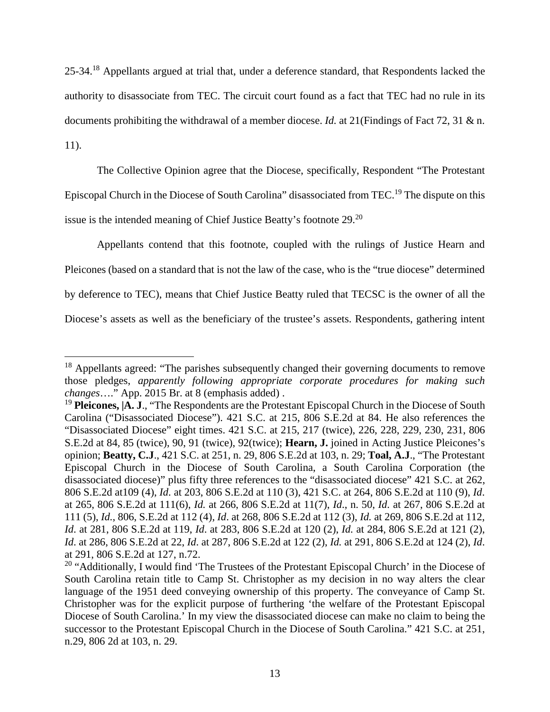25-34.<sup>18</sup> Appellants argued at trial that, under a deference standard, that Respondents lacked the authority to disassociate from TEC. The circuit court found as a fact that TEC had no rule in its documents prohibiting the withdrawal of a member diocese. *Id.* at 21(Findings of Fact 72, 31 & n. 11).

The Collective Opinion agree that the Diocese, specifically, Respondent "The Protestant Episcopal Church in the Diocese of South Carolina" disassociated from TEC.<sup>19</sup> The dispute on this issue is the intended meaning of Chief Justice Beatty's footnote 29.<sup>20</sup>

Appellants contend that this footnote, coupled with the rulings of Justice Hearn and Pleicones (based on a standard that is not the law of the case, who is the "true diocese" determined by deference to TEC), means that Chief Justice Beatty ruled that TECSC is the owner of all the Diocese's assets as well as the beneficiary of the trustee's assets. Respondents, gathering intent

<sup>&</sup>lt;sup>18</sup> Appellants agreed: "The parishes subsequently changed their governing documents to remove those pledges, *apparently following appropriate corporate procedures for making such changes*…." App. 2015 Br. at 8 (emphasis added) .

<sup>&</sup>lt;sup>19</sup> **Pleicones, [A. J., "The Respondents are the Protestant Episcopal Church in the Diocese of South** Carolina ("Disassociated Diocese"). 421 S.C. at 215, 806 S.E.2d at 84. He also references the "Disassociated Diocese" eight times. 421 S.C. at 215, 217 (twice), 226, 228, 229, 230, 231, 806 S.E.2d at 84*,* 85 (twice), 90, 91 (twice), 92(twice); **Hearn, J.** joined in Acting Justice Pleicones's opinion; **Beatty, C.J**., 421 S.C. at 251, n. 29, 806 S.E.2d at 103, n. 29; **Toal, A.J**., "The Protestant Episcopal Church in the Diocese of South Carolina, a South Carolina Corporation (the disassociated diocese)" plus fifty three references to the "disassociated diocese" 421 S.C. at 262, 806 S.E.2d at109 (4), *Id*. at 203, 806 S.E.2d at 110 (3), 421 S.C. at 264, 806 S.E.2d at 110 (9), *Id*. at 265, 806 S.E.2d at 111(6), *Id.* at 266, 806 S.E.2d at 11(7), *Id*., n. 50, *Id.* at 267, 806 S.E.2d at 111 (5), *Id.*, 806, S.E.2d at 112 (4), *Id*. at 268, 806 S.E.2d at 112 (3), *Id.* at 269, 806 S.E.2d at 112, *Id*. at 281, 806 S.E.2d at 119, *Id*. at 283, 806 S.E.2d at 120 (2), *Id.* at 284, 806 S.E.2d at 121 (2), *Id*. at 286, 806 S.E.2d at 22, *Id*. at 287, 806 S.E.2d at 122 (2), *Id.* at 291, 806 S.E.2d at 124 (2), *Id*. at 291, 806 S.E.2d at 127, n.72.

 $20$  "Additionally, I would find 'The Trustees of the Protestant Episcopal Church' in the Diocese of South Carolina retain title to Camp St. Christopher as my decision in no way alters the clear language of the 1951 deed conveying ownership of this property. The conveyance of Camp St. Christopher was for the explicit purpose of furthering 'the welfare of the Protestant Episcopal Diocese of South Carolina.' In my view the disassociated diocese can make no claim to being the successor to the Protestant Episcopal Church in the Diocese of South Carolina." 421 S.C. at 251, n.29, 806 2d at 103, n. 29.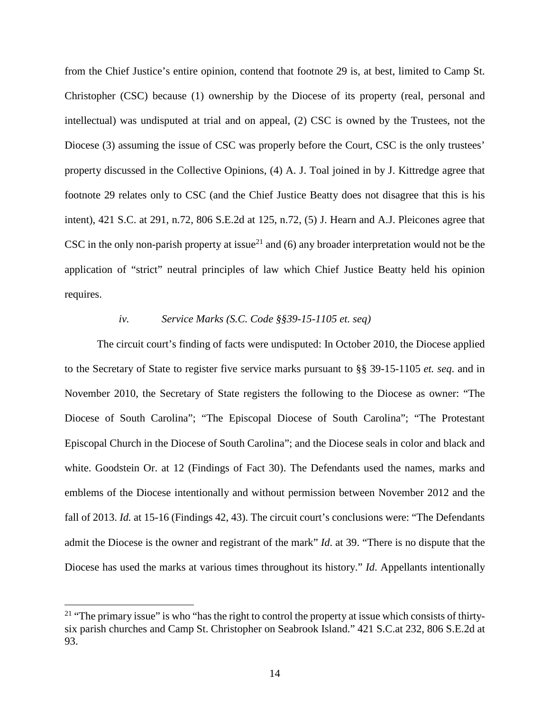from the Chief Justice's entire opinion, contend that footnote 29 is, at best, limited to Camp St. Christopher (CSC) because (1) ownership by the Diocese of its property (real, personal and intellectual) was undisputed at trial and on appeal, (2) CSC is owned by the Trustees, not the Diocese (3) assuming the issue of CSC was properly before the Court, CSC is the only trustees' property discussed in the Collective Opinions, (4) A. J. Toal joined in by J. Kittredge agree that footnote 29 relates only to CSC (and the Chief Justice Beatty does not disagree that this is his intent), 421 S.C. at 291, n.72, 806 S.E.2d at 125, n.72, (5) J. Hearn and A.J. Pleicones agree that CSC in the only non-parish property at issue<sup>21</sup> and (6) any broader interpretation would not be the application of "strict" neutral principles of law which Chief Justice Beatty held his opinion requires.

# *iv. Service Marks (S.C. Code §§39-15-1105 et. seq)*

The circuit court's finding of facts were undisputed: In October 2010, the Diocese applied to the Secretary of State to register five service marks pursuant to §§ 39-15-1105 *et. seq*. and in November 2010, the Secretary of State registers the following to the Diocese as owner: "The Diocese of South Carolina"; "The Episcopal Diocese of South Carolina"; "The Protestant Episcopal Church in the Diocese of South Carolina"; and the Diocese seals in color and black and white. Goodstein Or. at 12 (Findings of Fact 30). The Defendants used the names, marks and emblems of the Diocese intentionally and without permission between November 2012 and the fall of 2013. *Id.* at 15-16 (Findings 42, 43). The circuit court's conclusions were: "The Defendants admit the Diocese is the owner and registrant of the mark" *Id*. at 39. "There is no dispute that the Diocese has used the marks at various times throughout its history." *Id*. Appellants intentionally

<sup>&</sup>lt;sup>21</sup> "The primary issue" is who "has the right to control the property at issue which consists of thirtysix parish churches and Camp St. Christopher on Seabrook Island." 421 S.C.at 232, 806 S.E.2d at 93.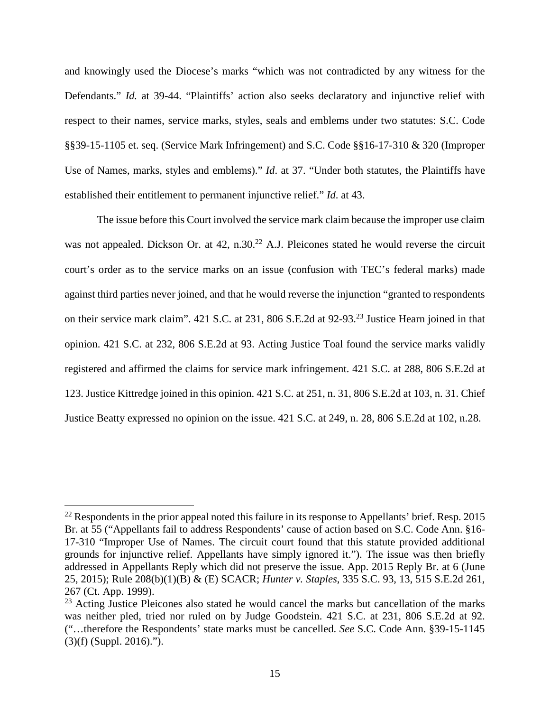and knowingly used the Diocese's marks "which was not contradicted by any witness for the Defendants." *Id.* at 39-44. "Plaintiffs' action also seeks declaratory and injunctive relief with respect to their names, service marks, styles, seals and emblems under two statutes: S.C. Code §§39-15-1105 et. seq. (Service Mark Infringement) and S.C. Code §§16-17-310 & 320 (Improper Use of Names, marks, styles and emblems)." *Id*. at 37. "Under both statutes, the Plaintiffs have established their entitlement to permanent injunctive relief." *Id*. at 43.

The issue before this Court involved the service mark claim because the improper use claim was not appealed. Dickson Or. at 42, n.30.<sup>22</sup> A.J. Pleicones stated he would reverse the circuit court's order as to the service marks on an issue (confusion with TEC's federal marks) made against third parties never joined, and that he would reverse the injunction "granted to respondents on their service mark claim". 421 S.C. at 231, 806 S.E.2d at 92-93.<sup>23</sup> Justice Hearn joined in that opinion. 421 S.C. at 232, 806 S.E.2d at 93. Acting Justice Toal found the service marks validly registered and affirmed the claims for service mark infringement. 421 S.C. at 288, 806 S.E.2d at 123. Justice Kittredge joined in this opinion. 421 S.C. at 251, n. 31, 806 S.E.2d at 103, n. 31. Chief Justice Beatty expressed no opinion on the issue. 421 S.C. at 249, n. 28, 806 S.E.2d at 102, n.28.

<sup>&</sup>lt;sup>22</sup> Respondents in the prior appeal noted this failure in its response to Appellants' brief. Resp. 2015 Br. at 55 ("Appellants fail to address Respondents' cause of action based on S.C. Code Ann. §16- 17-310 "Improper Use of Names. The circuit court found that this statute provided additional grounds for injunctive relief. Appellants have simply ignored it."). The issue was then briefly addressed in Appellants Reply which did not preserve the issue. App. 2015 Reply Br. at 6 (June 25, 2015); Rule 208(b)(1)(B) & (E) SCACR; *Hunter v. Staples*, 335 S.C. 93, 13, 515 S.E.2d 261, 267 (Ct. App. 1999).

<sup>&</sup>lt;sup>23</sup> Acting Justice Pleicones also stated he would cancel the marks but cancellation of the marks was neither pled, tried nor ruled on by Judge Goodstein. 421 S.C. at 231, 806 S.E.2d at 92. ("…therefore the Respondents' state marks must be cancelled. *See* S.C. Code Ann. §39-15-1145 (3)(f) (Suppl. 2016).").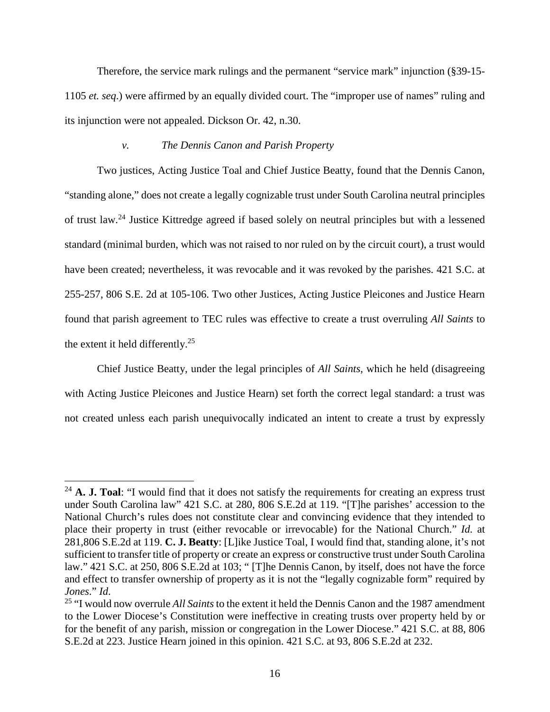Therefore, the service mark rulings and the permanent "service mark" injunction (§39-15- 1105 *et. seq*.) were affirmed by an equally divided court. The "improper use of names" ruling and its injunction were not appealed. Dickson Or. 42, n.30.

## *v. The Dennis Canon and Parish Property*

Two justices, Acting Justice Toal and Chief Justice Beatty, found that the Dennis Canon, "standing alone," does not create a legally cognizable trust under South Carolina neutral principles of trust law.<sup>24</sup> Justice Kittredge agreed if based solely on neutral principles but with a lessened standard (minimal burden, which was not raised to nor ruled on by the circuit court), a trust would have been created; nevertheless, it was revocable and it was revoked by the parishes. 421 S.C. at 255-257, 806 S.E. 2d at 105-106. Two other Justices, Acting Justice Pleicones and Justice Hearn found that parish agreement to TEC rules was effective to create a trust overruling *All Saints* to the extent it held differently.<sup>25</sup>

Chief Justice Beatty, under the legal principles of *All Saints,* which he held (disagreeing with Acting Justice Pleicones and Justice Hearn) set forth the correct legal standard: a trust was not created unless each parish unequivocally indicated an intent to create a trust by expressly

<sup>&</sup>lt;sup>24</sup> **A. J. Toal**: "I would find that it does not satisfy the requirements for creating an express trust under South Carolina law" 421 S.C. at 280, 806 S.E.2d at 119. "[T]he parishes' accession to the National Church's rules does not constitute clear and convincing evidence that they intended to place their property in trust (either revocable or irrevocable) for the National Church." *Id.* at 281,806 S.E.2d at 119. **C. J. Beatty**: [L]ike Justice Toal, I would find that, standing alone, it's not sufficient to transfer title of property or create an express or constructive trust under South Carolina law." 421 S.C. at 250, 806 S.E.2d at 103; " [T]he Dennis Canon, by itself, does not have the force and effect to transfer ownership of property as it is not the "legally cognizable form" required by *Jones*." *Id*.

<sup>25</sup> "I would now overrule *All Saints* to the extent it held the Dennis Canon and the 1987 amendment to the Lower Diocese's Constitution were ineffective in creating trusts over property held by or for the benefit of any parish, mission or congregation in the Lower Diocese." 421 S.C. at 88, 806 S.E.2d at 223. Justice Hearn joined in this opinion. 421 S.C. at 93, 806 S.E.2d at 232.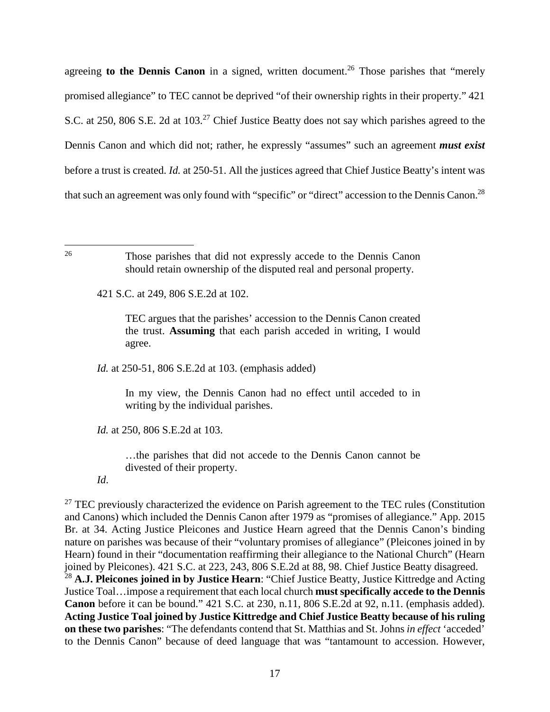agreeing **to the Dennis Canon** in a signed, written document.<sup>26</sup> Those parishes that "merely promised allegiance" to TEC cannot be deprived "of their ownership rights in their property." 421 S.C. at 250, 806 S.E. 2d at 103.<sup>27</sup> Chief Justice Beatty does not say which parishes agreed to the Dennis Canon and which did not; rather, he expressly "assumes" such an agreement *must exist* before a trust is created. *Id.* at 250-51. All the justices agreed that Chief Justice Beatty's intent was that such an agreement was only found with "specific" or "direct" accession to the Dennis Canon.<sup>28</sup>

421 S.C. at 249, 806 S.E.2d at 102.

TEC argues that the parishes' accession to the Dennis Canon created the trust. **Assuming** that each parish acceded in writing, I would agree.

*Id.* at 250-51, 806 S.E.2d at 103. (emphasis added)

In my view, the Dennis Canon had no effect until acceded to in writing by the individual parishes.

*Id.* at 250, 806 S.E.2d at 103.

…the parishes that did not accede to the Dennis Canon cannot be divested of their property.

*Id*.

<sup>27</sup> TEC previously characterized the evidence on Parish agreement to the TEC rules (Constitution) and Canons) which included the Dennis Canon after 1979 as "promises of allegiance." App. 2015 Br. at 34. Acting Justice Pleicones and Justice Hearn agreed that the Dennis Canon's binding nature on parishes was because of their "voluntary promises of allegiance" (Pleicones joined in by Hearn) found in their "documentation reaffirming their allegiance to the National Church" (Hearn joined by Pleicones). 421 S.C. at 223, 243, 806 S.E.2d at 88, 98. Chief Justice Beatty disagreed.

<sup>28</sup> **A.J. Pleicones joined in by Justice Hearn**: "Chief Justice Beatty, Justice Kittredge and Acting Justice Toal…impose a requirement that each local church **must specifically accede to the Dennis Canon** before it can be bound." 421 S.C. at 230, n.11, 806 S.E.2d at 92, n.11. (emphasis added). **Acting Justice Toal joined by Justice Kittredge and Chief Justice Beatty because of his ruling on these two parishes**: "The defendants contend that St. Matthias and St. Johns *in effect* 'acceded' to the Dennis Canon" because of deed language that was "tantamount to accession. However,

<sup>26</sup> Those parishes that did not expressly accede to the Dennis Canon should retain ownership of the disputed real and personal property.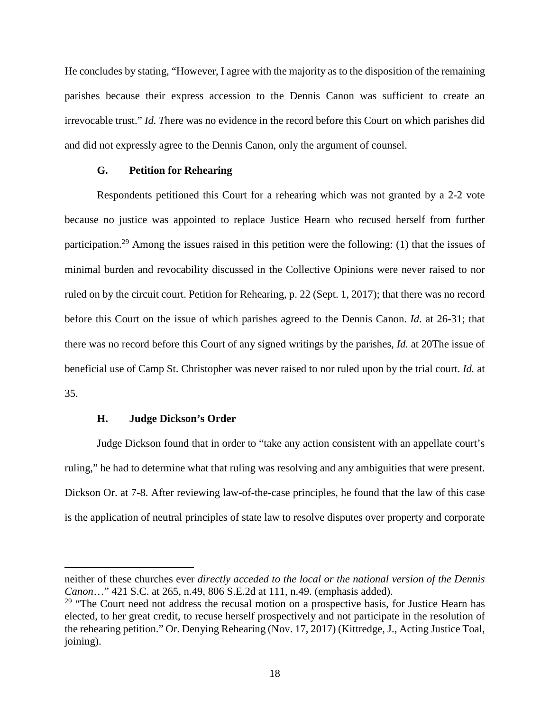He concludes by stating, "However, I agree with the majority as to the disposition of the remaining parishes because their express accession to the Dennis Canon was sufficient to create an irrevocable trust." *Id. T*here was no evidence in the record before this Court on which parishes did and did not expressly agree to the Dennis Canon, only the argument of counsel.

## **G. Petition for Rehearing**

Respondents petitioned this Court for a rehearing which was not granted by a 2-2 vote because no justice was appointed to replace Justice Hearn who recused herself from further participation.<sup>29</sup> Among the issues raised in this petition were the following: (1) that the issues of minimal burden and revocability discussed in the Collective Opinions were never raised to nor ruled on by the circuit court. Petition for Rehearing, p. 22 (Sept. 1, 2017); that there was no record before this Court on the issue of which parishes agreed to the Dennis Canon. *Id.* at 26-31; that there was no record before this Court of any signed writings by the parishes, *Id.* at 20The issue of beneficial use of Camp St. Christopher was never raised to nor ruled upon by the trial court. *Id.* at 35.

#### **H. Judge Dickson's Order**

Judge Dickson found that in order to "take any action consistent with an appellate court's ruling," he had to determine what that ruling was resolving and any ambiguities that were present. Dickson Or. at 7-8. After reviewing law-of-the-case principles, he found that the law of this case is the application of neutral principles of state law to resolve disputes over property and corporate

neither of these churches ever *directly acceded to the local or the national version of the Dennis Canon*…" 421 S.C. at 265, n.49, 806 S.E.2d at 111, n.49. (emphasis added).

<sup>&</sup>lt;sup>29</sup> "The Court need not address the recusal motion on a prospective basis, for Justice Hearn has elected, to her great credit, to recuse herself prospectively and not participate in the resolution of the rehearing petition." Or. Denying Rehearing (Nov. 17, 2017) (Kittredge, J., Acting Justice Toal, joining).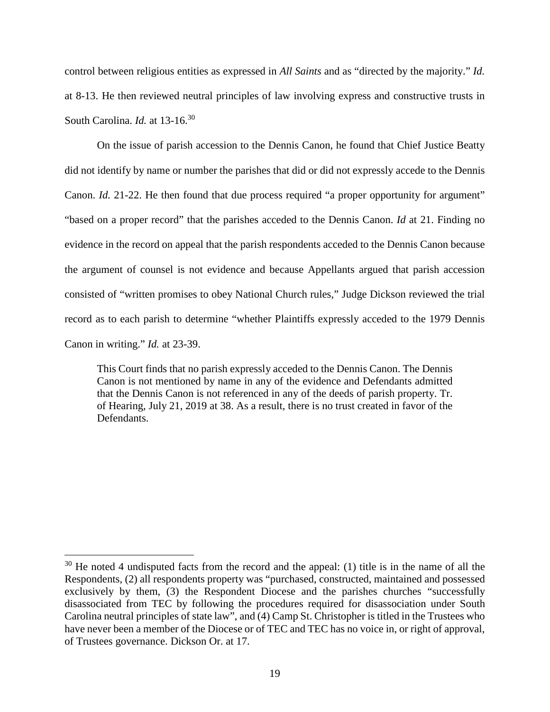control between religious entities as expressed in *All Saints* and as "directed by the majority." *Id.* at 8-13. He then reviewed neutral principles of law involving express and constructive trusts in South Carolina. *Id.* at 13-16.<sup>30</sup>

On the issue of parish accession to the Dennis Canon, he found that Chief Justice Beatty did not identify by name or number the parishes that did or did not expressly accede to the Dennis Canon. *Id.* 21-22. He then found that due process required "a proper opportunity for argument" "based on a proper record" that the parishes acceded to the Dennis Canon. *Id* at 21. Finding no evidence in the record on appeal that the parish respondents acceded to the Dennis Canon because the argument of counsel is not evidence and because Appellants argued that parish accession consisted of "written promises to obey National Church rules," Judge Dickson reviewed the trial record as to each parish to determine "whether Plaintiffs expressly acceded to the 1979 Dennis Canon in writing." *Id.* at 23-39.

This Court finds that no parish expressly acceded to the Dennis Canon. The Dennis Canon is not mentioned by name in any of the evidence and Defendants admitted that the Dennis Canon is not referenced in any of the deeds of parish property. Tr. of Hearing, July 21, 2019 at 38. As a result, there is no trust created in favor of the Defendants.

 $30$  He noted 4 undisputed facts from the record and the appeal: (1) title is in the name of all the Respondents, (2) all respondents property was "purchased, constructed, maintained and possessed exclusively by them, (3) the Respondent Diocese and the parishes churches "successfully disassociated from TEC by following the procedures required for disassociation under South Carolina neutral principles of state law", and (4) Camp St. Christopher is titled in the Trustees who have never been a member of the Diocese or of TEC and TEC has no voice in, or right of approval, of Trustees governance. Dickson Or. at 17.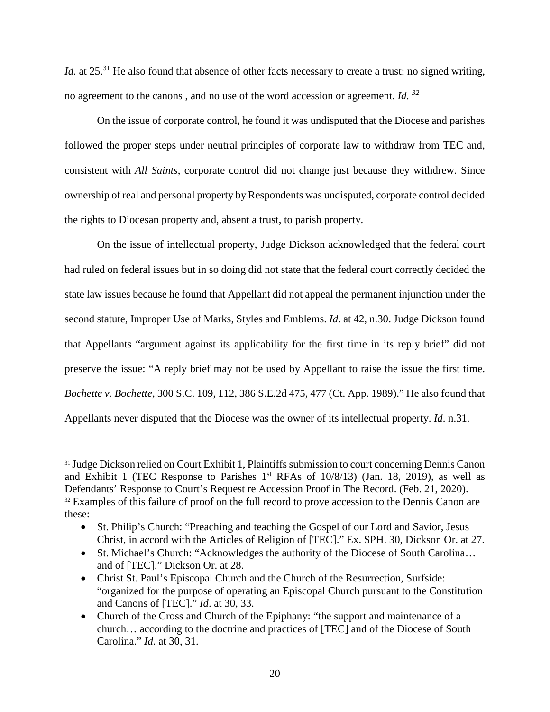*Id.* at 25.<sup>31</sup> He also found that absence of other facts necessary to create a trust: no signed writing, no agreement to the canons , and no use of the word accession or agreement. *Id. <sup>32</sup>*

On the issue of corporate control, he found it was undisputed that the Diocese and parishes followed the proper steps under neutral principles of corporate law to withdraw from TEC and, consistent with *All Saints*, corporate control did not change just because they withdrew. Since ownership of real and personal property by Respondents was undisputed, corporate control decided the rights to Diocesan property and, absent a trust, to parish property.

On the issue of intellectual property, Judge Dickson acknowledged that the federal court had ruled on federal issues but in so doing did not state that the federal court correctly decided the state law issues because he found that Appellant did not appeal the permanent injunction under the second statute, Improper Use of Marks, Styles and Emblems. *Id*. at 42, n.30. Judge Dickson found that Appellants "argument against its applicability for the first time in its reply brief" did not preserve the issue: "A reply brief may not be used by Appellant to raise the issue the first time. *Bochette v. Bochette*, 300 S.C. 109, 112, 386 S.E.2d 475, 477 (Ct. App. 1989)." He also found that Appellants never disputed that the Diocese was the owner of its intellectual property. *Id*. n.31.

<sup>&</sup>lt;sup>31</sup> Judge Dickson relied on Court Exhibit 1, Plaintiffs submission to court concerning Dennis Canon and Exhibit 1 (TEC Response to Parishes  $1<sup>st</sup>$  RFAs of  $10/8/13$ ) (Jan. 18, 2019), as well as Defendants' Response to Court's Request re Accession Proof in The Record. (Feb. 21, 2020). <sup>32</sup> Examples of this failure of proof on the full record to prove accession to the Dennis Canon are these:

<sup>•</sup> St. Philip's Church: "Preaching and teaching the Gospel of our Lord and Savior, Jesus Christ, in accord with the Articles of Religion of [TEC]." Ex. SPH. 30, Dickson Or. at 27.

<sup>•</sup> St. Michael's Church: "Acknowledges the authority of the Diocese of South Carolina... and of [TEC]." Dickson Or. at 28.

Christ St. Paul's Episcopal Church and the Church of the Resurrection, Surfside: "organized for the purpose of operating an Episcopal Church pursuant to the Constitution and Canons of [TEC]." *Id*. at 30, 33.

Church of the Cross and Church of the Epiphany: "the support and maintenance of a church… according to the doctrine and practices of [TEC] and of the Diocese of South Carolina." *Id*. at 30, 31.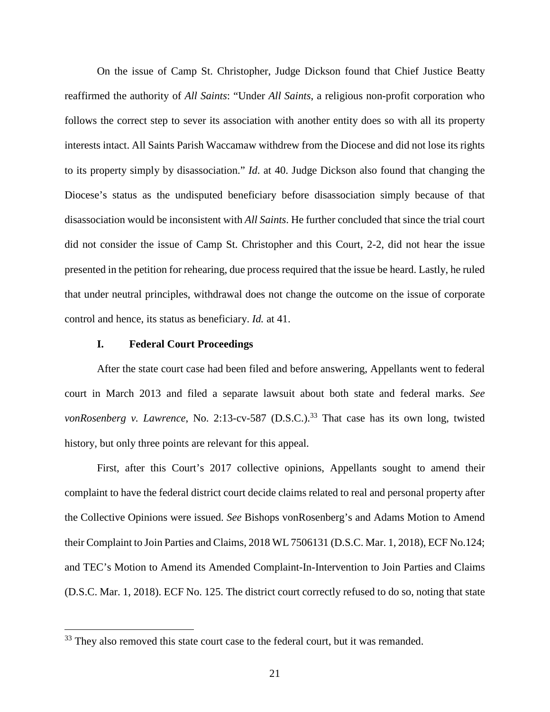On the issue of Camp St. Christopher, Judge Dickson found that Chief Justice Beatty reaffirmed the authority of *All Saints*: "Under *All Saints*, a religious non-profit corporation who follows the correct step to sever its association with another entity does so with all its property interests intact. All Saints Parish Waccamaw withdrew from the Diocese and did not lose its rights to its property simply by disassociation." *Id*. at 40. Judge Dickson also found that changing the Diocese's status as the undisputed beneficiary before disassociation simply because of that disassociation would be inconsistent with *All Saints*. He further concluded that since the trial court did not consider the issue of Camp St. Christopher and this Court, 2-2, did not hear the issue presented in the petition for rehearing, due process required that the issue be heard. Lastly, he ruled that under neutral principles, withdrawal does not change the outcome on the issue of corporate control and hence, its status as beneficiary. *Id.* at 41.

#### **I. Federal Court Proceedings**

After the state court case had been filed and before answering, Appellants went to federal court in March 2013 and filed a separate lawsuit about both state and federal marks. *See vonRosenberg v. Lawrence*, No. 2:13-cv-587 (D.S.C.).<sup>33</sup> That case has its own long, twisted history, but only three points are relevant for this appeal.

First, after this Court's 2017 collective opinions, Appellants sought to amend their complaint to have the federal district court decide claims related to real and personal property after the Collective Opinions were issued. *See* Bishops vonRosenberg's and Adams Motion to Amend their Complaint to Join Parties and Claims, 2018 WL 7506131 (D.S.C. Mar. 1, 2018), ECF No.124; and TEC's Motion to Amend its Amended Complaint-In-Intervention to Join Parties and Claims (D.S.C. Mar. 1, 2018). ECF No. 125. The district court correctly refused to do so, noting that state

<sup>&</sup>lt;sup>33</sup> They also removed this state court case to the federal court, but it was remanded.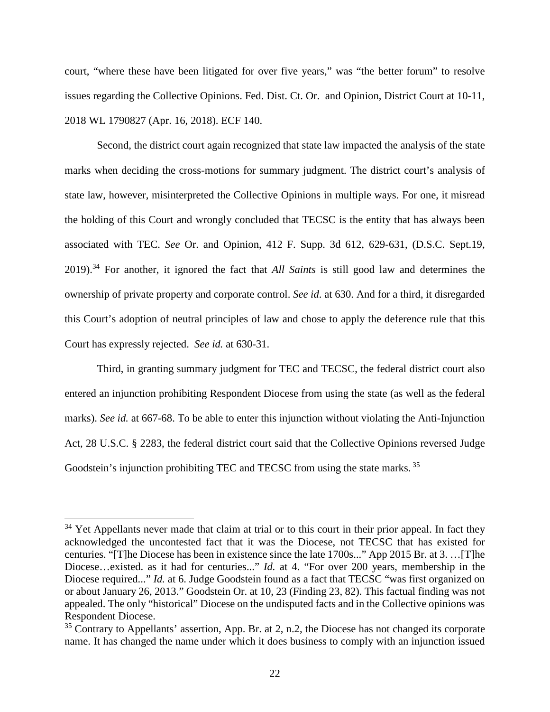court, "where these have been litigated for over five years," was "the better forum" to resolve issues regarding the Collective Opinions. Fed. Dist. Ct. Or. and Opinion, District Court at 10-11, 2018 WL 1790827 (Apr. 16, 2018). ECF 140.

Second, the district court again recognized that state law impacted the analysis of the state marks when deciding the cross-motions for summary judgment. The district court's analysis of state law, however, misinterpreted the Collective Opinions in multiple ways. For one, it misread the holding of this Court and wrongly concluded that TECSC is the entity that has always been associated with TEC. *See* Or. and Opinion, 412 F. Supp. 3d 612, 629-631, (D.S.C. Sept.19, 2019).<sup>34</sup> For another, it ignored the fact that *All Saints* is still good law and determines the ownership of private property and corporate control. *See id*. at 630. And for a third, it disregarded this Court's adoption of neutral principles of law and chose to apply the deference rule that this Court has expressly rejected. *See id.* at 630-31.

Third, in granting summary judgment for TEC and TECSC, the federal district court also entered an injunction prohibiting Respondent Diocese from using the state (as well as the federal marks). *See id.* at 667-68. To be able to enter this injunction without violating the Anti-Injunction Act, 28 U.S.C. § 2283, the federal district court said that the Collective Opinions reversed Judge Goodstein's injunction prohibiting TEC and TECSC from using the state marks.<sup>35</sup>

<sup>&</sup>lt;sup>34</sup> Yet Appellants never made that claim at trial or to this court in their prior appeal. In fact they acknowledged the uncontested fact that it was the Diocese, not TECSC that has existed for centuries. "[T]he Diocese has been in existence since the late 1700s..." App 2015 Br. at 3. …[T]he Diocese…existed. as it had for centuries..." *Id.* at 4. "For over 200 years, membership in the Diocese required..." *Id.* at 6. Judge Goodstein found as a fact that TECSC "was first organized on or about January 26, 2013." Goodstein Or. at 10, 23 (Finding 23, 82). This factual finding was not appealed. The only "historical" Diocese on the undisputed facts and in the Collective opinions was Respondent Diocese.

 $35$  Contrary to Appellants' assertion, App. Br. at 2, n.2, the Diocese has not changed its corporate name. It has changed the name under which it does business to comply with an injunction issued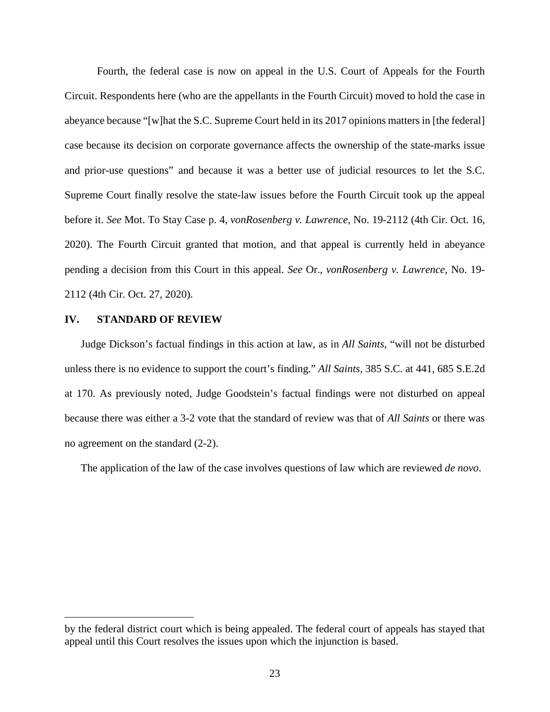Fourth, the federal case is now on appeal in the U.S. Court of Appeals for the Fourth Circuit. Respondents here (who are the appellants in the Fourth Circuit) moved to hold the case in abeyance because "[w]hat the S.C. Supreme Court held in its 2017 opinions matters in [the federal] case because its decision on corporate governance affects the ownership of the state-marks issue and prior-use questions" and because it was a better use of judicial resources to let the S.C. Supreme Court finally resolve the state-law issues before the Fourth Circuit took up the appeal before it. *See* Mot. To Stay Case p. 4, *vonRosenberg v. Lawrence*, No. 19-2112 (4th Cir. Oct. 16, 2020). The Fourth Circuit granted that motion, and that appeal is currently held in abeyance pending a decision from this Court in this appeal. *See* Or., *vonRosenberg v. Lawrence*, No. 19- 2112 (4th Cir. Oct. 27, 2020).

#### **IV. STANDARD OF REVIEW**

Judge Dickson's factual findings in this action at law, as in *All Saints*, "will not be disturbed unless there is no evidence to support the court's finding." *All Saints,* 385 S.C. at 441, 685 S.E.2d at 170. As previously noted, Judge Goodstein's factual findings were not disturbed on appeal because there was either a 3-2 vote that the standard of review was that of *All Saints* or there was no agreement on the standard (2-2).

The application of the law of the case involves questions of law which are reviewed *de novo*.

by the federal district court which is being appealed. The federal court of appeals has stayed that appeal until this Court resolves the issues upon which the injunction is based.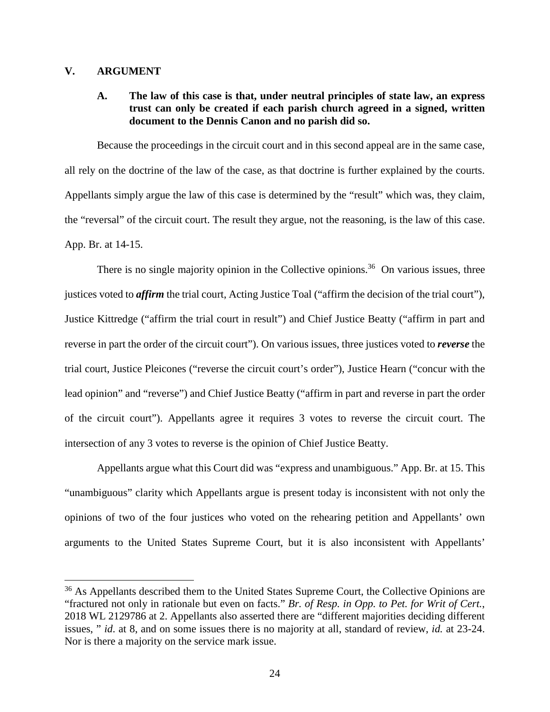### **V. ARGUMENT**

## **A. The law of this case is that, under neutral principles of state law, an express trust can only be created if each parish church agreed in a signed, written document to the Dennis Canon and no parish did so.**

Because the proceedings in the circuit court and in this second appeal are in the same case, all rely on the doctrine of the law of the case, as that doctrine is further explained by the courts. Appellants simply argue the law of this case is determined by the "result" which was, they claim, the "reversal" of the circuit court. The result they argue, not the reasoning, is the law of this case. App. Br. at 14-15.

There is no single majority opinion in the Collective opinions.<sup>36</sup> On various issues, three justices voted to *affirm* the trial court, Acting Justice Toal ("affirm the decision of the trial court"), Justice Kittredge ("affirm the trial court in result") and Chief Justice Beatty ("affirm in part and reverse in part the order of the circuit court"). On various issues, three justices voted to *reverse* the trial court, Justice Pleicones ("reverse the circuit court's order"), Justice Hearn ("concur with the lead opinion" and "reverse") and Chief Justice Beatty ("affirm in part and reverse in part the order of the circuit court"). Appellants agree it requires 3 votes to reverse the circuit court. The intersection of any 3 votes to reverse is the opinion of Chief Justice Beatty.

Appellants argue what this Court did was "express and unambiguous." App. Br. at 15. This "unambiguous" clarity which Appellants argue is present today is inconsistent with not only the opinions of two of the four justices who voted on the rehearing petition and Appellants' own arguments to the United States Supreme Court, but it is also inconsistent with Appellants'

<sup>&</sup>lt;sup>36</sup> As Appellants described them to the United States Supreme Court, the Collective Opinions are "fractured not only in rationale but even on facts." *Br. of Resp. in Opp. to Pet. for Writ of Cert.*, 2018 WL 2129786 at 2. Appellants also asserted there are "different majorities deciding different issues, " *id*. at 8, and on some issues there is no majority at all, standard of review, *id.* at 23-24. Nor is there a majority on the service mark issue.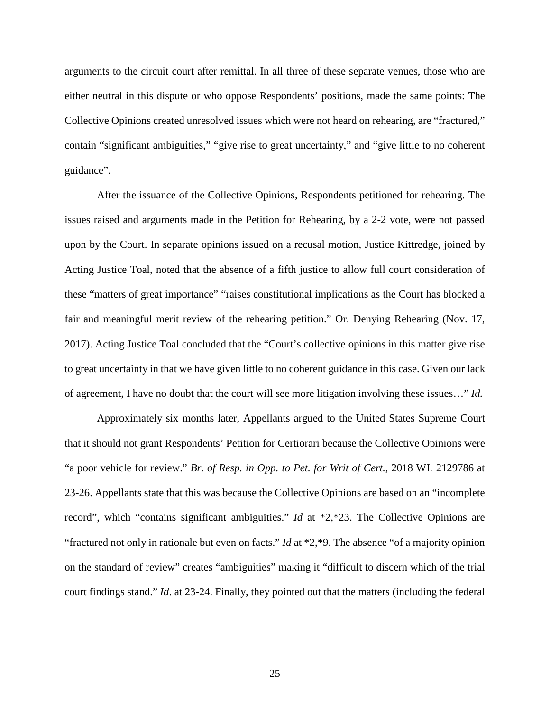arguments to the circuit court after remittal. In all three of these separate venues, those who are either neutral in this dispute or who oppose Respondents' positions, made the same points: The Collective Opinions created unresolved issues which were not heard on rehearing, are "fractured," contain "significant ambiguities," "give rise to great uncertainty," and "give little to no coherent guidance".

After the issuance of the Collective Opinions, Respondents petitioned for rehearing. The issues raised and arguments made in the Petition for Rehearing, by a 2-2 vote, were not passed upon by the Court. In separate opinions issued on a recusal motion, Justice Kittredge, joined by Acting Justice Toal, noted that the absence of a fifth justice to allow full court consideration of these "matters of great importance" "raises constitutional implications as the Court has blocked a fair and meaningful merit review of the rehearing petition." Or. Denying Rehearing (Nov. 17, 2017). Acting Justice Toal concluded that the "Court's collective opinions in this matter give rise to great uncertainty in that we have given little to no coherent guidance in this case. Given our lack of agreement, I have no doubt that the court will see more litigation involving these issues…" *Id.*

Approximately six months later, Appellants argued to the United States Supreme Court that it should not grant Respondents' Petition for Certiorari because the Collective Opinions were "a poor vehicle for review." *Br. of Resp. in Opp. to Pet. for Writ of Cert.*, 2018 WL 2129786 at 23-26. Appellants state that this was because the Collective Opinions are based on an "incomplete record", which "contains significant ambiguities." *Id* at \*2,\*23. The Collective Opinions are "fractured not only in rationale but even on facts." *Id* at \*2,\*9. The absence "of a majority opinion on the standard of review" creates "ambiguities" making it "difficult to discern which of the trial court findings stand." *Id*. at 23-24. Finally, they pointed out that the matters (including the federal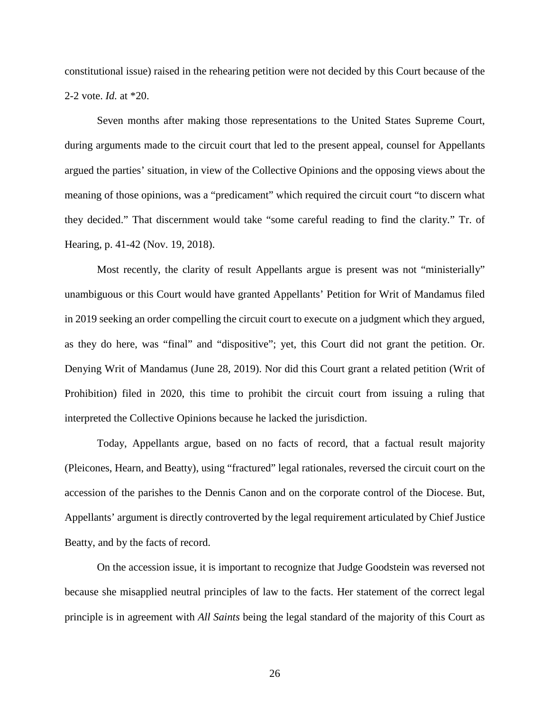constitutional issue) raised in the rehearing petition were not decided by this Court because of the 2-2 vote. *Id.* at \*20.

Seven months after making those representations to the United States Supreme Court, during arguments made to the circuit court that led to the present appeal, counsel for Appellants argued the parties' situation, in view of the Collective Opinions and the opposing views about the meaning of those opinions, was a "predicament" which required the circuit court "to discern what they decided." That discernment would take "some careful reading to find the clarity." Tr. of Hearing, p. 41-42 (Nov. 19, 2018).

Most recently, the clarity of result Appellants argue is present was not "ministerially" unambiguous or this Court would have granted Appellants' Petition for Writ of Mandamus filed in 2019 seeking an order compelling the circuit court to execute on a judgment which they argued, as they do here, was "final" and "dispositive"; yet, this Court did not grant the petition. Or. Denying Writ of Mandamus (June 28, 2019). Nor did this Court grant a related petition (Writ of Prohibition) filed in 2020, this time to prohibit the circuit court from issuing a ruling that interpreted the Collective Opinions because he lacked the jurisdiction.

Today, Appellants argue, based on no facts of record, that a factual result majority (Pleicones, Hearn, and Beatty), using "fractured" legal rationales, reversed the circuit court on the accession of the parishes to the Dennis Canon and on the corporate control of the Diocese. But, Appellants' argument is directly controverted by the legal requirement articulated by Chief Justice Beatty, and by the facts of record.

On the accession issue, it is important to recognize that Judge Goodstein was reversed not because she misapplied neutral principles of law to the facts. Her statement of the correct legal principle is in agreement with *All Saints* being the legal standard of the majority of this Court as

26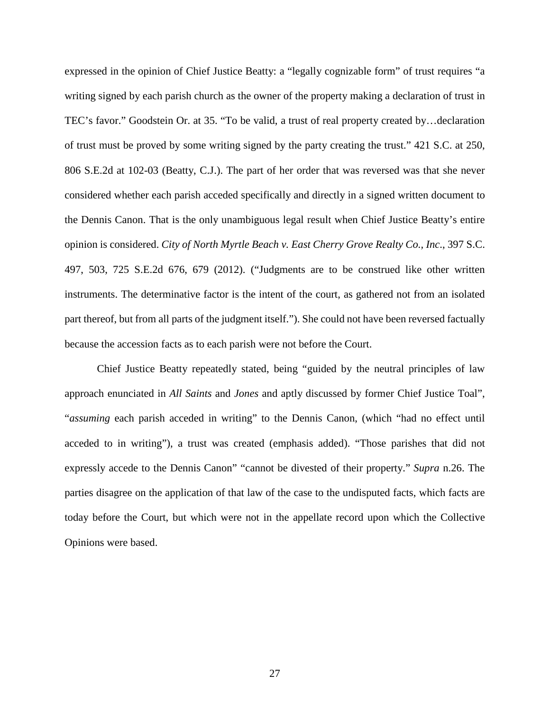expressed in the opinion of Chief Justice Beatty: a "legally cognizable form" of trust requires "a writing signed by each parish church as the owner of the property making a declaration of trust in TEC's favor." Goodstein Or. at 35. "To be valid, a trust of real property created by…declaration of trust must be proved by some writing signed by the party creating the trust." 421 S.C. at 250, 806 S.E.2d at 102-03 (Beatty, C.J.). The part of her order that was reversed was that she never considered whether each parish acceded specifically and directly in a signed written document to the Dennis Canon. That is the only unambiguous legal result when Chief Justice Beatty's entire opinion is considered. *City of North Myrtle Beach v. East Cherry Grove Realty Co., Inc*., 397 S.C. 497, 503, 725 S.E.2d 676, 679 (2012). ("Judgments are to be construed like other written instruments. The determinative factor is the intent of the court, as gathered not from an isolated part thereof, but from all parts of the judgment itself."). She could not have been reversed factually because the accession facts as to each parish were not before the Court.

Chief Justice Beatty repeatedly stated, being "guided by the neutral principles of law approach enunciated in *All Saints* and *Jones* and aptly discussed by former Chief Justice Toal", "*assuming* each parish acceded in writing" to the Dennis Canon, (which "had no effect until acceded to in writing"), a trust was created (emphasis added). "Those parishes that did not expressly accede to the Dennis Canon" "cannot be divested of their property." *Supra* n.26. The parties disagree on the application of that law of the case to the undisputed facts, which facts are today before the Court, but which were not in the appellate record upon which the Collective Opinions were based.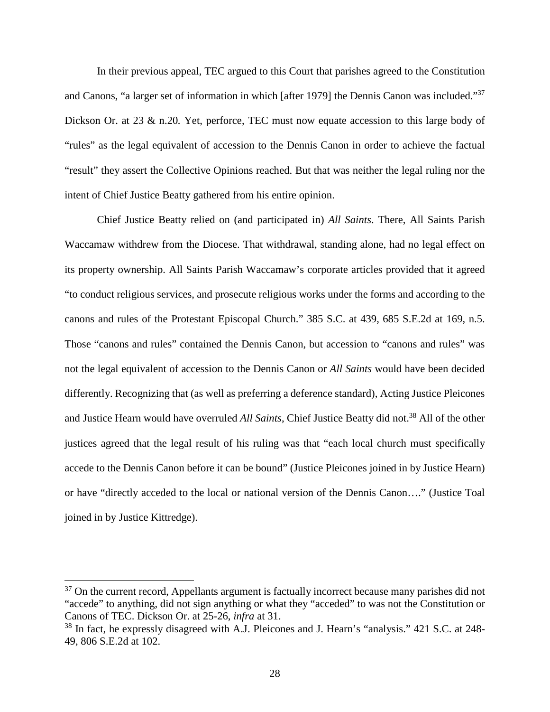In their previous appeal, TEC argued to this Court that parishes agreed to the Constitution and Canons, "a larger set of information in which [after 1979] the Dennis Canon was included."<sup>37</sup> Dickson Or. at 23 & n.20*.* Yet, perforce, TEC must now equate accession to this large body of "rules" as the legal equivalent of accession to the Dennis Canon in order to achieve the factual "result" they assert the Collective Opinions reached. But that was neither the legal ruling nor the intent of Chief Justice Beatty gathered from his entire opinion.

Chief Justice Beatty relied on (and participated in) *All Saints*. There, All Saints Parish Waccamaw withdrew from the Diocese. That withdrawal, standing alone, had no legal effect on its property ownership. All Saints Parish Waccamaw's corporate articles provided that it agreed "to conduct religious services, and prosecute religious works under the forms and according to the canons and rules of the Protestant Episcopal Church." 385 S.C. at 439, 685 S.E.2d at 169, n.5. Those "canons and rules" contained the Dennis Canon, but accession to "canons and rules" was not the legal equivalent of accession to the Dennis Canon or *All Saints* would have been decided differently. Recognizing that (as well as preferring a deference standard), Acting Justice Pleicones and Justice Hearn would have overruled *All Saints*, Chief Justice Beatty did not.<sup>38</sup> All of the other justices agreed that the legal result of his ruling was that "each local church must specifically accede to the Dennis Canon before it can be bound" (Justice Pleicones joined in by Justice Hearn) or have "directly acceded to the local or national version of the Dennis Canon…." (Justice Toal joined in by Justice Kittredge).

<sup>&</sup>lt;sup>37</sup> On the current record, Appellants argument is factually incorrect because many parishes did not "accede" to anything, did not sign anything or what they "acceded" to was not the Constitution or Canons of TEC. Dickson Or. at 25-26, *infra* at 31.

<sup>&</sup>lt;sup>38</sup> In fact, he expressly disagreed with A.J. Pleicones and J. Hearn's "analysis." 421 S.C. at 248-49, 806 S.E.2d at 102.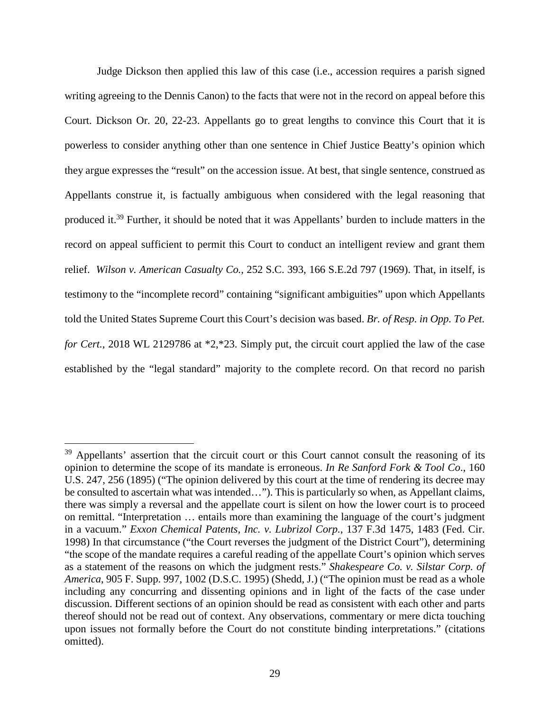Judge Dickson then applied this law of this case (i.e., accession requires a parish signed writing agreeing to the Dennis Canon) to the facts that were not in the record on appeal before this Court. Dickson Or. 20, 22-23. Appellants go to great lengths to convince this Court that it is powerless to consider anything other than one sentence in Chief Justice Beatty's opinion which they argue expresses the "result" on the accession issue. At best, that single sentence, construed as Appellants construe it, is factually ambiguous when considered with the legal reasoning that produced it.<sup>39</sup> Further, it should be noted that it was Appellants' burden to include matters in the record on appeal sufficient to permit this Court to conduct an intelligent review and grant them relief. *Wilson v. American Casualty Co.*, 252 S.C. 393, 166 S.E.2d 797 (1969). That, in itself, is testimony to the "incomplete record" containing "significant ambiguities" upon which Appellants told the United States Supreme Court this Court's decision was based. *Br. of Resp. in Opp. To Pet. for Cert.*, 2018 WL 2129786 at \*2,\*23. Simply put, the circuit court applied the law of the case established by the "legal standard" majority to the complete record. On that record no parish

<sup>&</sup>lt;sup>39</sup> Appellants' assertion that the circuit court or this Court cannot consult the reasoning of its opinion to determine the scope of its mandate is erroneous. *In Re Sanford Fork & Tool Co*., 160 U.S. 247, 256 (1895) ("The opinion delivered by this court at the time of rendering its decree may be consulted to ascertain what was intended…"). This is particularly so when, as Appellant claims, there was simply a reversal and the appellate court is silent on how the lower court is to proceed on remittal. "Interpretation … entails more than examining the language of the court's judgment in a vacuum." *Exxon Chemical Patents, Inc. v. Lubrizol Corp.*, 137 F.3d 1475, 1483 (Fed. Cir. 1998) In that circumstance ("the Court reverses the judgment of the District Court"), determining "the scope of the mandate requires a careful reading of the appellate Court's opinion which serves as a statement of the reasons on which the judgment rests." *Shakespeare Co. v. Silstar Corp. of America*, 905 F. Supp. 997, 1002 (D.S.C. 1995) (Shedd, J.) ("The opinion must be read as a whole including any concurring and dissenting opinions and in light of the facts of the case under discussion. Different sections of an opinion should be read as consistent with each other and parts thereof should not be read out of context. Any observations, commentary or mere dicta touching upon issues not formally before the Court do not constitute binding interpretations." (citations omitted).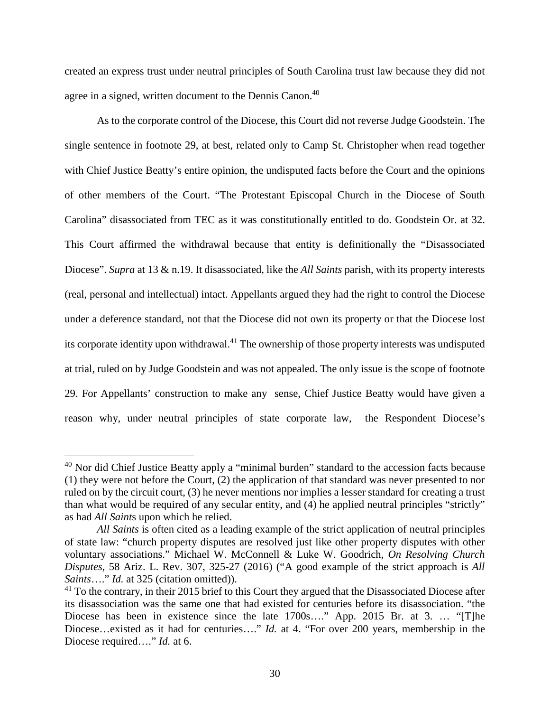created an express trust under neutral principles of South Carolina trust law because they did not agree in a signed, written document to the Dennis Canon.<sup>40</sup>

As to the corporate control of the Diocese, this Court did not reverse Judge Goodstein. The single sentence in footnote 29, at best, related only to Camp St. Christopher when read together with Chief Justice Beatty's entire opinion, the undisputed facts before the Court and the opinions of other members of the Court. "The Protestant Episcopal Church in the Diocese of South Carolina" disassociated from TEC as it was constitutionally entitled to do. Goodstein Or. at 32. This Court affirmed the withdrawal because that entity is definitionally the "Disassociated Diocese". *Supra* at 13 & n.19. It disassociated, like the *All Saints* parish, with its property interests (real, personal and intellectual) intact. Appellants argued they had the right to control the Diocese under a deference standard, not that the Diocese did not own its property or that the Diocese lost its corporate identity upon withdrawal.<sup>41</sup> The ownership of those property interests was undisputed at trial, ruled on by Judge Goodstein and was not appealed. The only issue is the scope of footnote 29. For Appellants' construction to make any sense, Chief Justice Beatty would have given a reason why, under neutral principles of state corporate law, the Respondent Diocese's

<sup>&</sup>lt;sup>40</sup> Nor did Chief Justice Beatty apply a "minimal burden" standard to the accession facts because (1) they were not before the Court, (2) the application of that standard was never presented to nor ruled on by the circuit court, (3) he never mentions nor implies a lesser standard for creating a trust than what would be required of any secular entity, and (4) he applied neutral principles "strictly" as had *All Saint*s upon which he relied.

*All Saints* is often cited as a leading example of the strict application of neutral principles of state law: "church property disputes are resolved just like other property disputes with other voluntary associations." Michael W. McConnell & Luke W. Goodrich, *On Resolving Church Disputes*, 58 Ariz. L. Rev. 307, 325-27 (2016) ("A good example of the strict approach is *All Saints*…." *Id.* at 325 (citation omitted)).

<sup>&</sup>lt;sup>41</sup> To the contrary, in their 2015 brief to this Court they argued that the Disassociated Diocese after its disassociation was the same one that had existed for centuries before its disassociation. "the Diocese has been in existence since the late 1700s…." App. 2015 Br. at 3. … "[T]he Diocese...existed as it had for centuries...." *Id.* at 4. "For over 200 years, membership in the Diocese required…." *Id.* at 6.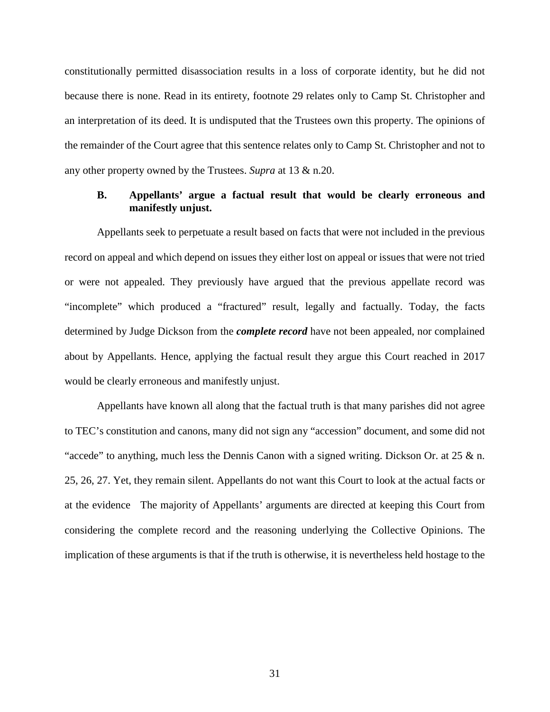constitutionally permitted disassociation results in a loss of corporate identity, but he did not because there is none. Read in its entirety, footnote 29 relates only to Camp St. Christopher and an interpretation of its deed. It is undisputed that the Trustees own this property. The opinions of the remainder of the Court agree that this sentence relates only to Camp St. Christopher and not to any other property owned by the Trustees. *Supra* at 13 & n.20.

## **B. Appellants' argue a factual result that would be clearly erroneous and manifestly unjust.**

Appellants seek to perpetuate a result based on facts that were not included in the previous record on appeal and which depend on issues they either lost on appeal or issues that were not tried or were not appealed. They previously have argued that the previous appellate record was "incomplete" which produced a "fractured" result, legally and factually. Today, the facts determined by Judge Dickson from the *complete record* have not been appealed, nor complained about by Appellants. Hence, applying the factual result they argue this Court reached in 2017 would be clearly erroneous and manifestly unjust.

Appellants have known all along that the factual truth is that many parishes did not agree to TEC's constitution and canons, many did not sign any "accession" document, and some did not "accede" to anything, much less the Dennis Canon with a signed writing. Dickson Or. at 25 & n. 25, 26, 27. Yet, they remain silent. Appellants do not want this Court to look at the actual facts or at the evidence The majority of Appellants' arguments are directed at keeping this Court from considering the complete record and the reasoning underlying the Collective Opinions. The implication of these arguments is that if the truth is otherwise, it is nevertheless held hostage to the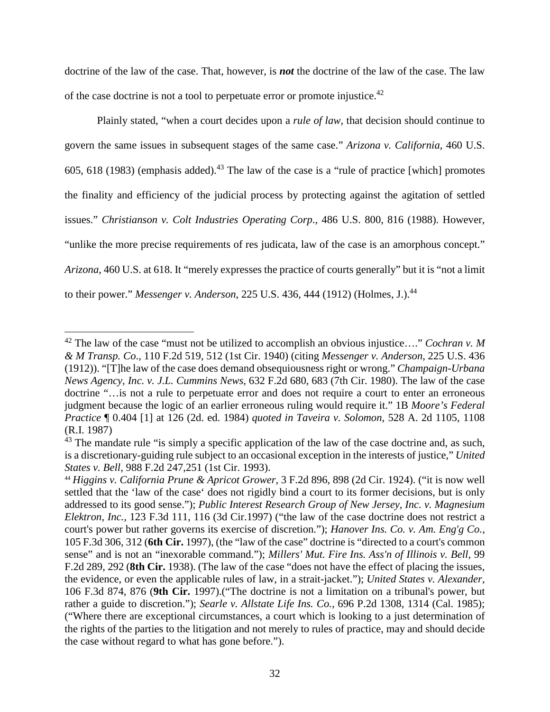doctrine of the law of the case. That, however, is *not* the doctrine of the law of the case. The law of the case doctrine is not a tool to perpetuate error or promote injustice.<sup>42</sup>

Plainly stated, "when a court decides upon a *rule of law*, that decision should continue to govern the same issues in subsequent stages of the same case." *Arizona v. California*, 460 U.S. 605, 618 (1983) (emphasis added).<sup>43</sup> The law of the case is a "rule of practice [which] promotes the finality and efficiency of the judicial process by protecting against the agitation of settled issues." *Christianson v. Colt Industries Operating Corp*., 486 U.S. 800, 816 (1988). However, "unlike the more precise requirements of res judicata, law of the case is an amorphous concept." *Arizona*, 460 U.S. at 618. It "merely expresses the practice of courts generally" but it is "not a limit to their power." *Messenger v. Anderson*, 225 U.S. 436, 444 (1912) (Holmes, J.).<sup>44</sup>

<sup>42</sup> The law of the case "must not be utilized to accomplish an obvious injustice…." *Cochran v. M & M Transp. Co*., 110 F.2d 519, 512 (1st Cir. 1940) (citing *Messenger v. Anderson*, 225 U.S. 436 (1912)). "[T]he law of the case does demand obsequiousness right or wrong." *Champaign-Urbana News Agency, Inc. v. J.L. Cummins News*, 632 F.2d 680, 683 (7th Cir. 1980). The law of the case doctrine "…is not a rule to perpetuate error and does not require a court to enter an erroneous judgment because the logic of an earlier erroneous ruling would require it." 1B *Moore's Federal Practice* ¶ 0.404 [1] at 126 (2d. ed. 1984) *quoted in Taveira v. Solomon*, 528 A. 2d 1105, 1108 (R.I. 1987)

<sup>&</sup>lt;sup>43</sup> The mandate rule "is simply a specific application of the law of the case doctrine and, as such, is a discretionary-guiding rule subject to an occasional exception in the interests of justice," *United States v. Bell*, 988 F.2d 247,251 (1st Cir. 1993).

<sup>44</sup> *Higgins v. California Prune & Apricot Grower*, 3 F.2d 896, 898 (2d Cir. 1924). ("it is now well settled that the 'law of the case' does not rigidly bind a court to its former decisions, but is only addressed to its good sense."); *Public Interest Research Group of New Jersey, Inc. v. Magnesium Elektron, Inc.,* 123 F.3d 111, 116 (3d Cir.1997) ("the law of the case doctrine does not restrict a court's power but rather governs its exercise of discretion."); *Hanover Ins. Co. v. Am. Eng'g Co.,* 105 F.3d 306, 312 (**6th Cir.** 1997), (the "law of the case" doctrine is "directed to a court's common sense" and is not an "inexorable command."); *Millers' Mut. Fire Ins. Ass'n of Illinois v. Bell,* 99 F.2d 289, 292 (**8th Cir.** 1938). (The law of the case "does not have the effect of placing the issues, the evidence, or even the applicable rules of law, in a strait-jacket."); *United States v. Alexander*, 106 F.3d 874, 876 (**9th Cir.** 1997).("The doctrine is not a limitation on a tribunal's power, but rather a guide to discretion."); *Searle v. Allstate Life Ins. Co.*, 696 P.2d 1308, 1314 (Cal. 1985); ("Where there are exceptional circumstances, a court which is looking to a just determination of the rights of the parties to the litigation and not merely to rules of practice, may and should decide the case without regard to what has gone before.").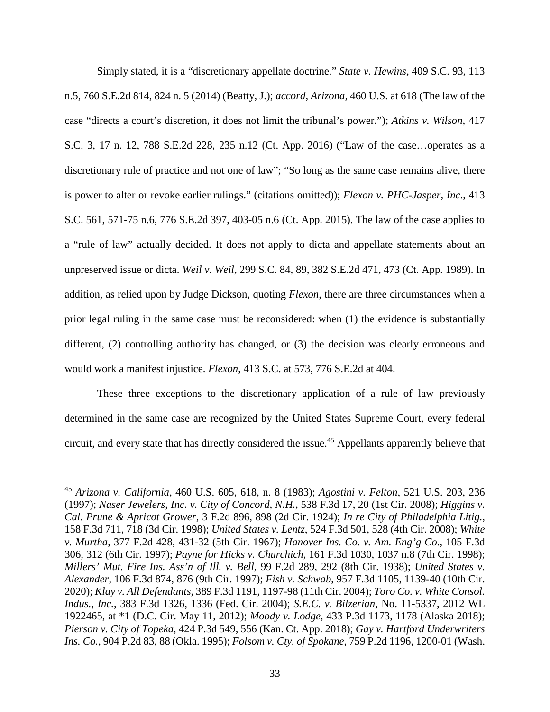Simply stated, it is a "discretionary appellate doctrine." *State v. Hewins*, 409 S.C. 93, 113 n.5, 760 S.E.2d 814, 824 n. 5 (2014) (Beatty, J.); *accord*, *Arizona,* 460 U.S. at 618 (The law of the case "directs a court's discretion, it does not limit the tribunal's power."); *Atkins v. Wilson,* 417 S.C. 3, 17 n. 12, 788 S.E.2d 228, 235 n.12 (Ct. App. 2016) ("Law of the case…operates as a discretionary rule of practice and not one of law"; "So long as the same case remains alive, there is power to alter or revoke earlier rulings." (citations omitted)); *Flexon v. PHC-Jasper, Inc*., 413 S.C. 561, 571-75 n.6, 776 S.E.2d 397, 403-05 n.6 (Ct. App. 2015). The law of the case applies to a "rule of law" actually decided. It does not apply to dicta and appellate statements about an unpreserved issue or dicta. *Weil v. Weil*, 299 S.C. 84, 89, 382 S.E.2d 471, 473 (Ct. App. 1989). In addition, as relied upon by Judge Dickson, quoting *Flexon*, there are three circumstances when a prior legal ruling in the same case must be reconsidered: when (1) the evidence is substantially different, (2) controlling authority has changed, or (3) the decision was clearly erroneous and would work a manifest injustice. *Flexon*, 413 S.C. at 573, 776 S.E.2d at 404.

These three exceptions to the discretionary application of a rule of law previously determined in the same case are recognized by the United States Supreme Court, every federal circuit, and every state that has directly considered the issue.<sup>45</sup> Appellants apparently believe that

<sup>45</sup> *Arizona v. California,* 460 U.S. 605, 618, n. 8 (1983); *Agostini v. Felton*, 521 U.S. 203, 236 (1997); *Naser Jewelers, Inc. v. City of Concord, N.H.*, 538 F.3d 17, 20 (1st Cir. 2008); *Higgins v. Cal. Prune & Apricot Grower*, 3 F.2d 896, 898 (2d Cir. 1924); *In re City of Philadelphia Litig.*, 158 F.3d 711, 718 (3d Cir. 1998); *United States v. Lentz*, 524 F.3d 501, 528 (4th Cir. 2008); *White v. Murtha*, 377 F.2d 428, 431-32 (5th Cir. 1967); *Hanover Ins. Co. v. Am. Eng'g Co.*, 105 F.3d 306, 312 (6th Cir. 1997); *Payne for Hicks v. Churchich*, 161 F.3d 1030, 1037 n.8 (7th Cir. 1998); *Millers' Mut. Fire Ins. Ass'n of Ill. v. Bell*, 99 F.2d 289, 292 (8th Cir. 1938); *United States v. Alexander*, 106 F.3d 874, 876 (9th Cir. 1997); *Fish v. Schwab*, 957 F.3d 1105, 1139-40 (10th Cir. 2020); *Klay v. All Defendants*, 389 F.3d 1191, 1197-98 (11th Cir. 2004); *Toro Co. v. White Consol. Indus., Inc.*, 383 F.3d 1326, 1336 (Fed. Cir. 2004); *S.E.C. v. Bilzerian*, No. 11-5337, 2012 WL 1922465, at \*1 (D.C. Cir. May 11, 2012); *Moody v. Lodge*, 433 P.3d 1173, 1178 (Alaska 2018); *Pierson v. City of Topeka*, 424 P.3d 549, 556 (Kan. Ct. App. 2018); *Gay v. Hartford Underwriters Ins. Co.*, 904 P.2d 83, 88 (Okla. 1995); *Folsom v. Cty. of Spokane*, 759 P.2d 1196, 1200-01 (Wash.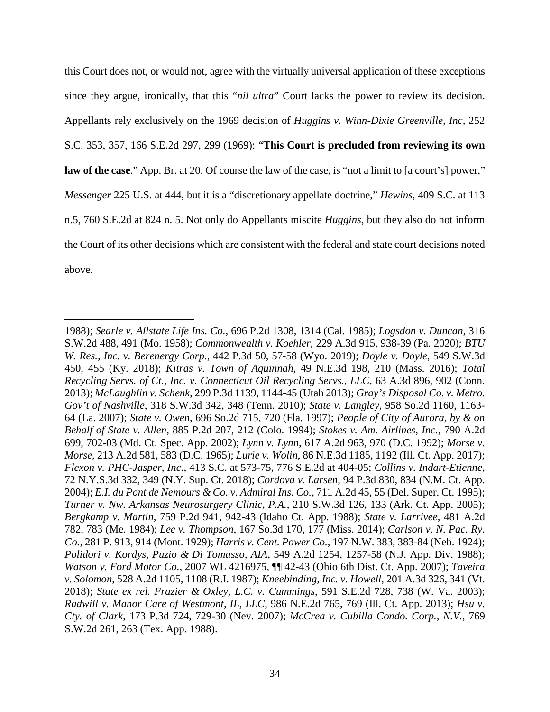this Court does not, or would not, agree with the virtually universal application of these exceptions since they argue, ironically, that this "*nil ultra*" Court lacks the power to review its decision. Appellants rely exclusively on the 1969 decision of *Huggins v. Winn-Dixie Greenville, Inc,* 252 S.C. 353, 357, 166 S.E.2d 297, 299 (1969): "**This Court is precluded from reviewing its own law of the case**." App. Br. at 20. Of course the law of the case, is "not a limit to [a court's] power," *Messenger* 225 U.S. at 444, but it is a "discretionary appellate doctrine," *Hewins*, 409 S.C. at 113 n.5, 760 S.E.2d at 824 n. 5. Not only do Appellants miscite *Huggins*, but they also do not inform the Court of its other decisions which are consistent with the federal and state court decisions noted above.

<sup>1988);</sup> *Searle v. Allstate Life Ins. Co.*, 696 P.2d 1308, 1314 (Cal. 1985); *Logsdon v. Duncan*, 316 S.W.2d 488, 491 (Mo. 1958); *Commonwealth v. Koehler*, 229 A.3d 915, 938-39 (Pa. 2020); *BTU W. Res., Inc. v. Berenergy Corp.*, 442 P.3d 50, 57-58 (Wyo. 2019); *Doyle v. Doyle*, 549 S.W.3d 450, 455 (Ky. 2018); *Kitras v. Town of Aquinnah*, 49 N.E.3d 198, 210 (Mass. 2016); *Total Recycling Servs. of Ct., Inc. v. Connecticut Oil Recycling Servs., LLC*, 63 A.3d 896, 902 (Conn. 2013); *McLaughlin v. Schenk*, 299 P.3d 1139, 1144-45 (Utah 2013); *Gray's Disposal Co. v. Metro. Gov't of Nashville*, 318 S.W.3d 342, 348 (Tenn. 2010); *State v. Langley*, 958 So.2d 1160, 1163- 64 (La. 2007); *State v. Owen*, 696 So.2d 715, 720 (Fla. 1997); *People of City of Aurora, by & on Behalf of State v. Allen*, 885 P.2d 207, 212 (Colo. 1994); *Stokes v. Am. Airlines, Inc.*, 790 A.2d 699, 702-03 (Md. Ct. Spec. App. 2002); *Lynn v. Lynn*, 617 A.2d 963, 970 (D.C. 1992); *Morse v. Morse*, 213 A.2d 581, 583 (D.C. 1965); *Lurie v. Wolin*, 86 N.E.3d 1185, 1192 (Ill. Ct. App. 2017); *Flexon v. PHC-Jasper, Inc.*, 413 S.C. at 573-75, 776 S.E.2d at 404-05; *Collins v. Indart-Etienne*, 72 N.Y.S.3d 332, 349 (N.Y. Sup. Ct. 2018); *Cordova v. Larsen*, 94 P.3d 830, 834 (N.M. Ct. App. 2004); *E.I. du Pont de Nemours & Co. v. Admiral Ins. Co.*, 711 A.2d 45, 55 (Del. Super. Ct. 1995); *Turner v. Nw. Arkansas Neurosurgery Clinic, P.A.*, 210 S.W.3d 126, 133 (Ark. Ct. App. 2005); *Bergkamp v. Martin*, 759 P.2d 941, 942-43 (Idaho Ct. App. 1988); *State v. Larrivee*, 481 A.2d 782, 783 (Me. 1984); *Lee v. Thompson*, 167 So.3d 170, 177 (Miss. 2014); *Carlson v. N. Pac. Ry. Co.*, 281 P. 913, 914 (Mont. 1929); *Harris v. Cent. Power Co.*, 197 N.W. 383, 383-84 (Neb. 1924); *Polidori v. Kordys, Puzio & Di Tomasso, AIA*, 549 A.2d 1254, 1257-58 (N.J. App. Div. 1988); *Watson v. Ford Motor Co.*, 2007 WL 4216975, ¶¶ 42-43 (Ohio 6th Dist. Ct. App. 2007); *Taveira v. Solomon*, 528 A.2d 1105, 1108 (R.I. 1987); *Kneebinding, Inc. v. Howell*, 201 A.3d 326, 341 (Vt. 2018); *State ex rel. Frazier & Oxley, L.C. v. Cummings*, 591 S.E.2d 728, 738 (W. Va. 2003); *Radwill v. Manor Care of Westmont, IL, LLC*, 986 N.E.2d 765, 769 (Ill. Ct. App. 2013); *Hsu v. Cty. of Clark*, 173 P.3d 724, 729-30 (Nev. 2007); *McCrea v. Cubilla Condo. Corp., N.V.*, 769 S.W.2d 261, 263 (Tex. App. 1988).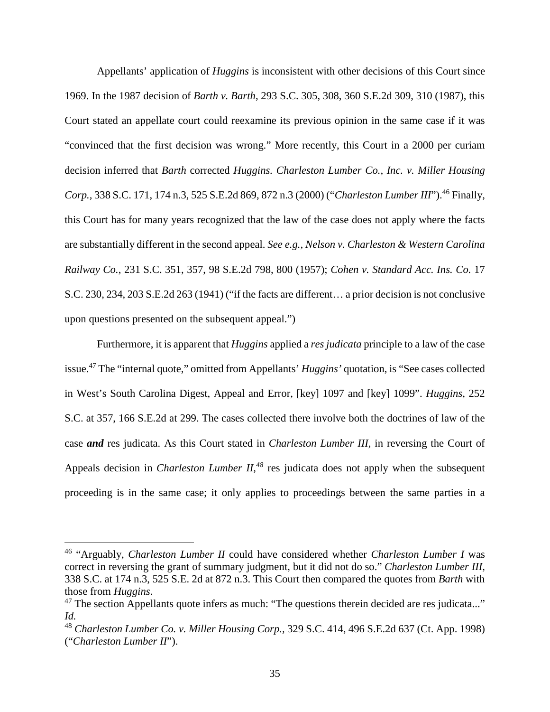Appellants' application of *Huggins* is inconsistent with other decisions of this Court since 1969. In the 1987 decision of *Barth v. Barth*, 293 S.C. 305, 308, 360 S.E.2d 309, 310 (1987), this Court stated an appellate court could reexamine its previous opinion in the same case if it was "convinced that the first decision was wrong." More recently, this Court in a 2000 per curiam decision inferred that *Barth* corrected *Huggins. Charleston Lumber Co., Inc. v. Miller Housing Corp.,* 338 S.C. 171, 174 n.3, 525 S.E.2d 869, 872 n.3 (2000) ("*Charleston Lumber III*").<sup>46</sup> Finally, this Court has for many years recognized that the law of the case does not apply where the facts are substantially different in the second appeal. *See e.g., Nelson v. Charleston & Western Carolina Railway Co.*, 231 S.C. 351, 357, 98 S.E.2d 798, 800 (1957); *Cohen v. Standard Acc. Ins. Co.* 17 S.C. 230, 234, 203 S.E.2d 263 (1941) ("if the facts are different… a prior decision is not conclusive upon questions presented on the subsequent appeal.")

Furthermore, it is apparent that *Huggins* applied a *res judicata* principle to a law of the case issue.<sup>47</sup> The "internal quote," omitted from Appellants' *Huggins'* quotation, is "See cases collected in West's South Carolina Digest, Appeal and Error, [key] 1097 and [key] 1099". *Huggins*, 252 S.C. at 357, 166 S.E.2d at 299. The cases collected there involve both the doctrines of law of the case *and* res judicata. As this Court stated in *Charleston Lumber III,* in reversing the Court of Appeals decision in *Charleston Lumber II*,<sup>48</sup> res judicata does not apply when the subsequent proceeding is in the same case; it only applies to proceedings between the same parties in a

<sup>46</sup> "Arguably, *Charleston Lumber II* could have considered whether *Charleston Lumber I* was correct in reversing the grant of summary judgment, but it did not do so." *Charleston Lumber III,*  338 S.C. at 174 n.3, 525 S.E. 2d at 872 n.3. This Court then compared the quotes from *Barth* with those from *Huggins*.

 $47$  The section Appellants quote infers as much: "The questions therein decided are res judicata..." *Id.* 

<sup>48</sup> *Charleston Lumber Co. v. Miller Housing Corp.,* 329 S.C. 414, 496 S.E.2d 637 (Ct. App. 1998) ("*Charleston Lumber II*").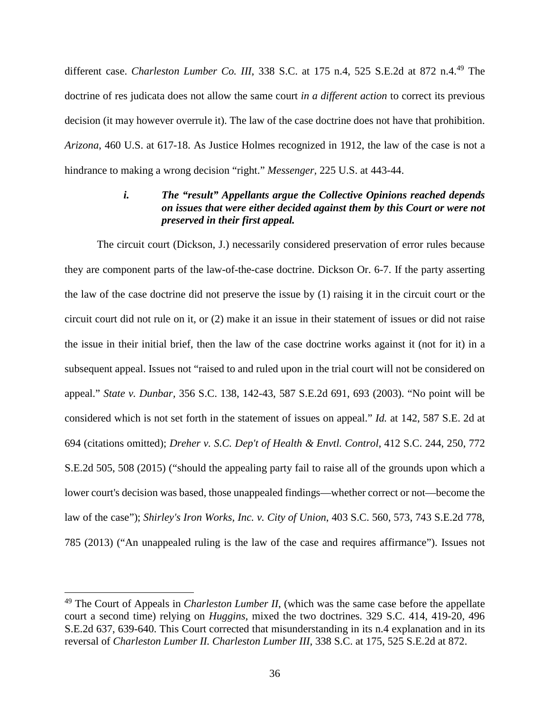different case. *Charleston Lumber Co. III*, 338 S.C. at 175 n.4, 525 S.E.2d at 872 n.4.<sup>49</sup> The doctrine of res judicata does not allow the same court *in a different action* to correct its previous decision (it may however overrule it). The law of the case doctrine does not have that prohibition. *Arizona*, 460 U.S. at 617-18. As Justice Holmes recognized in 1912, the law of the case is not a hindrance to making a wrong decision "right." *Messenger,* 225 U.S. at 443-44.

# *i. The "result" Appellants argue the Collective Opinions reached depends on issues that were either decided against them by this Court or were not preserved in their first appeal.*

The circuit court (Dickson, J.) necessarily considered preservation of error rules because they are component parts of the law-of-the-case doctrine. Dickson Or. 6-7. If the party asserting the law of the case doctrine did not preserve the issue by (1) raising it in the circuit court or the circuit court did not rule on it, or (2) make it an issue in their statement of issues or did not raise the issue in their initial brief, then the law of the case doctrine works against it (not for it) in a subsequent appeal. Issues not "raised to and ruled upon in the trial court will not be considered on appeal." *State v. Dunbar,* 356 S.C. 138, 142-43, 587 S.E.2d 691, 693 (2003). "No point will be considered which is not set forth in the statement of issues on appeal." *Id.* at 142, 587 S.E. 2d at 694 (citations omitted); *Dreher v. S.C. Dep't of Health & Envtl. Control*, 412 S.C. 244, 250, 772 S.E.2d 505, 508 (2015) ("should the appealing party fail to raise all of the grounds upon which a lower court's decision was based, those unappealed findings—whether correct or not—become the law of the case"); *Shirley's Iron Works, Inc. v. City of Union*, 403 S.C. 560, 573, 743 S.E.2d 778, 785 (2013) ("An unappealed ruling is the law of the case and requires affirmance"). Issues not

<sup>49</sup> The Court of Appeals in *Charleston Lumber II*, (which was the same case before the appellate court a second time) relying on *Huggins,* mixed the two doctrines. 329 S.C. 414, 419-20, 496 S.E.2d 637, 639-640. This Court corrected that misunderstanding in its n.4 explanation and in its reversal of *Charleston Lumber II. Charleston Lumber III*, 338 S.C. at 175, 525 S.E.2d at 872.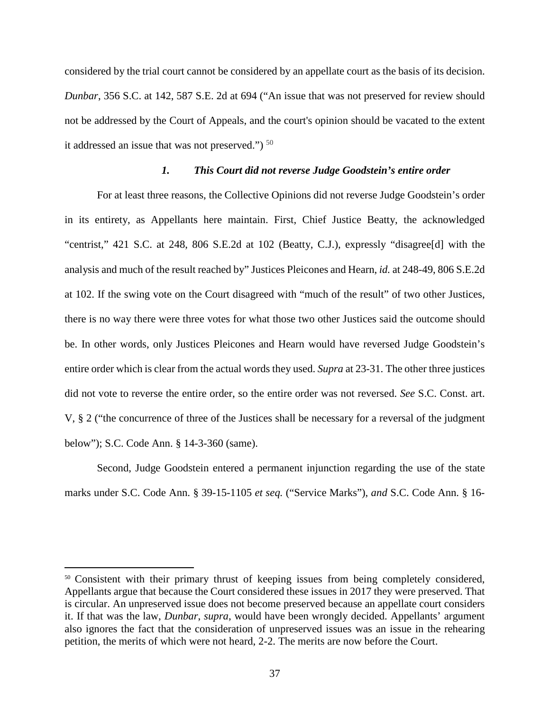considered by the trial court cannot be considered by an appellate court as the basis of its decision. *Dunbar*, 356 S.C. at 142, 587 S.E. 2d at 694 ("An issue that was not preserved for review should not be addressed by the Court of Appeals, and the court's opinion should be vacated to the extent it addressed an issue that was not preserved.")  $50$ 

## *1. This Court did not reverse Judge Goodstein's entire order*

For at least three reasons, the Collective Opinions did not reverse Judge Goodstein's order in its entirety, as Appellants here maintain. First, Chief Justice Beatty, the acknowledged "centrist," 421 S.C. at 248, 806 S.E.2d at 102 (Beatty, C.J.), expressly "disagree[d] with the analysis and much of the result reached by" Justices Pleicones and Hearn, *id.* at 248-49, 806 S.E.2d at 102. If the swing vote on the Court disagreed with "much of the result" of two other Justices, there is no way there were three votes for what those two other Justices said the outcome should be. In other words, only Justices Pleicones and Hearn would have reversed Judge Goodstein's entire order which is clear from the actual words they used. *Supra* at 23-31. The other three justices did not vote to reverse the entire order, so the entire order was not reversed. *See* S.C. Const. art. V, § 2 ("the concurrence of three of the Justices shall be necessary for a reversal of the judgment below"); S.C. Code Ann. § 14-3-360 (same).

Second, Judge Goodstein entered a permanent injunction regarding the use of the state marks under S.C. Code Ann. § 39-15-1105 *et seq.* ("Service Marks"), *and* S.C. Code Ann. § 16-

<sup>&</sup>lt;sup>50</sup> Consistent with their primary thrust of keeping issues from being completely considered, Appellants argue that because the Court considered these issues in 2017 they were preserved. That is circular. An unpreserved issue does not become preserved because an appellate court considers it. If that was the law, *Dunbar*, *supra*, would have been wrongly decided. Appellants' argument also ignores the fact that the consideration of unpreserved issues was an issue in the rehearing petition, the merits of which were not heard, 2-2. The merits are now before the Court.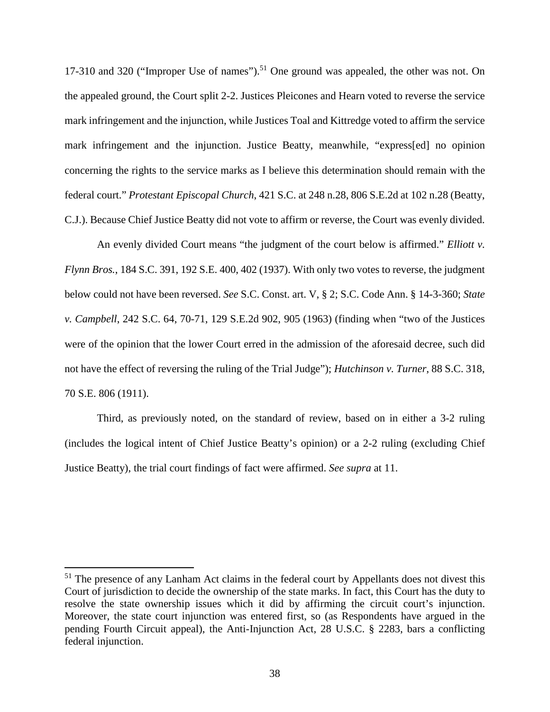17-310 and 320 ("Improper Use of names").<sup>51</sup> One ground was appealed, the other was not. On the appealed ground, the Court split 2-2. Justices Pleicones and Hearn voted to reverse the service mark infringement and the injunction, while Justices Toal and Kittredge voted to affirm the service mark infringement and the injunction. Justice Beatty, meanwhile, "express[ed] no opinion concerning the rights to the service marks as I believe this determination should remain with the federal court." *Protestant Episcopal Church*, 421 S.C. at 248 n.28, 806 S.E.2d at 102 n.28 (Beatty, C.J.). Because Chief Justice Beatty did not vote to affirm or reverse, the Court was evenly divided.

An evenly divided Court means "the judgment of the court below is affirmed." *Elliott v. Flynn Bros.*, 184 S.C. 391, 192 S.E. 400, 402 (1937). With only two votes to reverse, the judgment below could not have been reversed. *See* S.C. Const. art. V, § 2; S.C. Code Ann. § 14-3-360; *State v. Campbell*, 242 S.C. 64, 70-71, 129 S.E.2d 902, 905 (1963) (finding when "two of the Justices were of the opinion that the lower Court erred in the admission of the aforesaid decree, such did not have the effect of reversing the ruling of the Trial Judge"); *Hutchinson v. Turner*, 88 S.C. 318, 70 S.E. 806 (1911).

Third, as previously noted, on the standard of review, based on in either a 3-2 ruling (includes the logical intent of Chief Justice Beatty's opinion) or a 2-2 ruling (excluding Chief Justice Beatty), the trial court findings of fact were affirmed. *See supra* at 11.

<sup>&</sup>lt;sup>51</sup> The presence of any Lanham Act claims in the federal court by Appellants does not divest this Court of jurisdiction to decide the ownership of the state marks. In fact, this Court has the duty to resolve the state ownership issues which it did by affirming the circuit court's injunction. Moreover, the state court injunction was entered first, so (as Respondents have argued in the pending Fourth Circuit appeal), the Anti-Injunction Act, 28 U.S.C. § 2283, bars a conflicting federal injunction.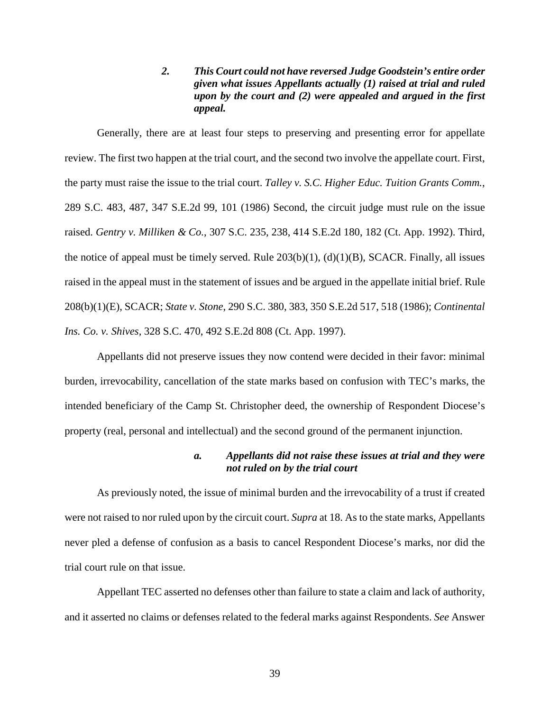*2. This Court could not have reversed Judge Goodstein's entire order given what issues Appellants actually (1) raised at trial and ruled upon by the court and (2) were appealed and argued in the first appeal.* 

Generally, there are at least four steps to preserving and presenting error for appellate review. The first two happen at the trial court, and the second two involve the appellate court. First, the party must raise the issue to the trial court. *Talley v. S.C. Higher Educ. Tuition Grants Comm.*, 289 S.C. 483, 487, 347 S.E.2d 99, 101 (1986) Second, the circuit judge must rule on the issue raised. *Gentry v. Milliken & Co.*, 307 S.C. 235, 238, 414 S.E.2d 180, 182 (Ct. App. 1992). Third, the notice of appeal must be timely served. Rule  $203(b)(1)$ ,  $(d)(1)(B)$ , SCACR. Finally, all issues raised in the appeal must in the statement of issues and be argued in the appellate initial brief. Rule 208(b)(1)(E), SCACR; *State v. Stone*, 290 S.C. 380, 383, 350 S.E.2d 517, 518 (1986); *Continental Ins. Co. v. Shives,* 328 S.C. 470, 492 S.E.2d 808 (Ct. App. 1997).

Appellants did not preserve issues they now contend were decided in their favor: minimal burden, irrevocability, cancellation of the state marks based on confusion with TEC's marks, the intended beneficiary of the Camp St. Christopher deed, the ownership of Respondent Diocese's property (real, personal and intellectual) and the second ground of the permanent injunction.

## *a. Appellants did not raise these issues at trial and they were not ruled on by the trial court*

As previously noted, the issue of minimal burden and the irrevocability of a trust if created were not raised to nor ruled upon by the circuit court. *Supra* at 18. As to the state marks, Appellants never pled a defense of confusion as a basis to cancel Respondent Diocese's marks, nor did the trial court rule on that issue.

Appellant TEC asserted no defenses other than failure to state a claim and lack of authority, and it asserted no claims or defenses related to the federal marks against Respondents. *See* Answer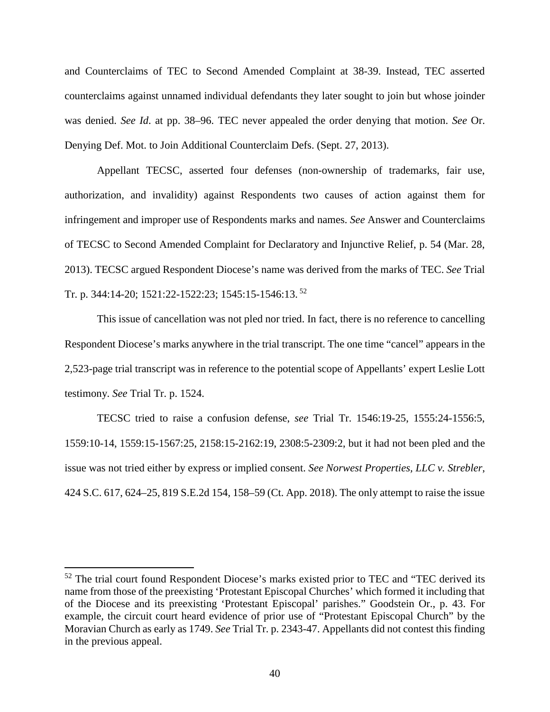and Counterclaims of TEC to Second Amended Complaint at 38-39. Instead, TEC asserted counterclaims against unnamed individual defendants they later sought to join but whose joinder was denied. *See Id*. at pp. 38–96. TEC never appealed the order denying that motion. *See* Or. Denying Def. Mot. to Join Additional Counterclaim Defs. (Sept. 27, 2013).

Appellant TECSC, asserted four defenses (non-ownership of trademarks, fair use, authorization, and invalidity) against Respondents two causes of action against them for infringement and improper use of Respondents marks and names. *See* Answer and Counterclaims of TECSC to Second Amended Complaint for Declaratory and Injunctive Relief, p. 54 (Mar. 28, 2013). TECSC argued Respondent Diocese's name was derived from the marks of TEC. *See* Trial Tr. p. 344:14-20; 1521:22-1522:23; 1545:15-1546:13.<sup>52</sup>

This issue of cancellation was not pled nor tried. In fact, there is no reference to cancelling Respondent Diocese's marks anywhere in the trial transcript. The one time "cancel" appears in the 2,523-page trial transcript was in reference to the potential scope of Appellants' expert Leslie Lott testimony. *See* Trial Tr. p. 1524.

TECSC tried to raise a confusion defense, *see* Trial Tr. 1546:19-25, 1555:24-1556:5, 1559:10-14, 1559:15-1567:25, 2158:15-2162:19, 2308:5-2309:2, but it had not been pled and the issue was not tried either by express or implied consent. *See Norwest Properties, LLC v. Strebler*, 424 S.C. 617, 624–25, 819 S.E.2d 154, 158–59 (Ct. App. 2018). The only attempt to raise the issue

 $52$  The trial court found Respondent Diocese's marks existed prior to TEC and "TEC derived its name from those of the preexisting 'Protestant Episcopal Churches' which formed it including that of the Diocese and its preexisting 'Protestant Episcopal' parishes." Goodstein Or., p. 43. For example, the circuit court heard evidence of prior use of "Protestant Episcopal Church" by the Moravian Church as early as 1749. *See* Trial Tr. p. 2343-47. Appellants did not contest this finding in the previous appeal.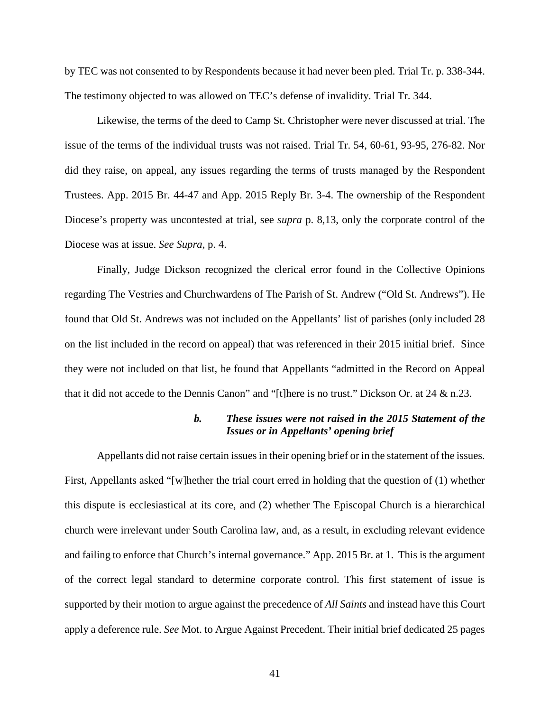by TEC was not consented to by Respondents because it had never been pled. Trial Tr. p. 338-344. The testimony objected to was allowed on TEC's defense of invalidity. Trial Tr. 344.

Likewise, the terms of the deed to Camp St. Christopher were never discussed at trial. The issue of the terms of the individual trusts was not raised. Trial Tr. 54, 60-61, 93-95, 276-82. Nor did they raise, on appeal, any issues regarding the terms of trusts managed by the Respondent Trustees. App. 2015 Br. 44-47 and App. 2015 Reply Br. 3-4. The ownership of the Respondent Diocese's property was uncontested at trial, see *supra* p. 8,13, only the corporate control of the Diocese was at issue. *See Supra*, p. 4.

Finally, Judge Dickson recognized the clerical error found in the Collective Opinions regarding The Vestries and Churchwardens of The Parish of St. Andrew ("Old St. Andrews"). He found that Old St. Andrews was not included on the Appellants' list of parishes (only included 28 on the list included in the record on appeal) that was referenced in their 2015 initial brief. Since they were not included on that list, he found that Appellants "admitted in the Record on Appeal that it did not accede to the Dennis Canon" and "[t]here is no trust." Dickson Or. at 24 & n.23.

## *b. These issues were not raised in the 2015 Statement of the Issues or in Appellants' opening brief*

Appellants did not raise certain issues in their opening brief or in the statement of the issues. First, Appellants asked "[w]hether the trial court erred in holding that the question of (1) whether this dispute is ecclesiastical at its core, and (2) whether The Episcopal Church is a hierarchical church were irrelevant under South Carolina law, and, as a result, in excluding relevant evidence and failing to enforce that Church's internal governance." App. 2015 Br. at 1. This is the argument of the correct legal standard to determine corporate control. This first statement of issue is supported by their motion to argue against the precedence of *All Saints* and instead have this Court apply a deference rule. *See* Mot. to Argue Against Precedent. Their initial brief dedicated 25 pages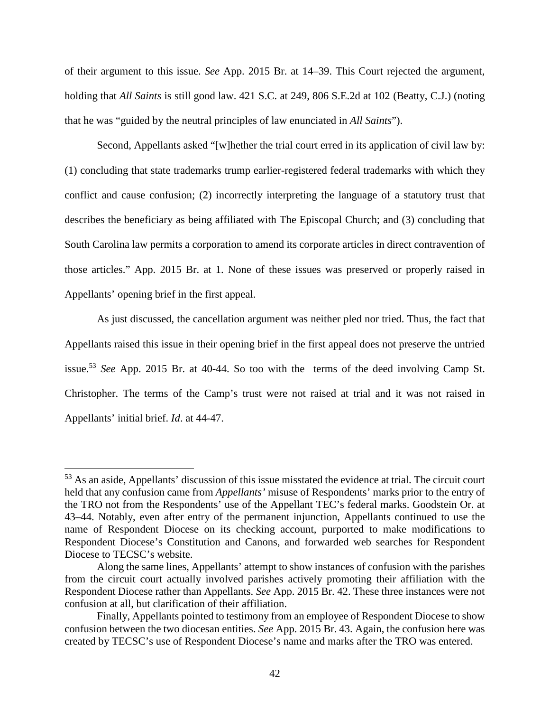of their argument to this issue. *See* App. 2015 Br. at 14–39. This Court rejected the argument, holding that *All Saints* is still good law. 421 S.C. at 249, 806 S.E.2d at 102 (Beatty, C.J.) (noting that he was "guided by the neutral principles of law enunciated in *All Saints*").

Second, Appellants asked "[w]hether the trial court erred in its application of civil law by: (1) concluding that state trademarks trump earlier-registered federal trademarks with which they conflict and cause confusion; (2) incorrectly interpreting the language of a statutory trust that describes the beneficiary as being affiliated with The Episcopal Church; and (3) concluding that South Carolina law permits a corporation to amend its corporate articles in direct contravention of those articles." App. 2015 Br. at 1. None of these issues was preserved or properly raised in Appellants' opening brief in the first appeal.

As just discussed, the cancellation argument was neither pled nor tried. Thus, the fact that Appellants raised this issue in their opening brief in the first appeal does not preserve the untried issue.<sup>53</sup> *See* App. 2015 Br. at 40-44. So too with the terms of the deed involving Camp St. Christopher. The terms of the Camp's trust were not raised at trial and it was not raised in Appellants' initial brief. *Id*. at 44-47.

<sup>53</sup> As an aside, Appellants' discussion of this issue misstated the evidence at trial. The circuit court held that any confusion came from *Appellants'* misuse of Respondents' marks prior to the entry of the TRO not from the Respondents' use of the Appellant TEC's federal marks. Goodstein Or. at 43–44. Notably, even after entry of the permanent injunction, Appellants continued to use the name of Respondent Diocese on its checking account, purported to make modifications to Respondent Diocese's Constitution and Canons, and forwarded web searches for Respondent Diocese to TECSC's website.

Along the same lines, Appellants' attempt to show instances of confusion with the parishes from the circuit court actually involved parishes actively promoting their affiliation with the Respondent Diocese rather than Appellants. *See* App. 2015 Br. 42. These three instances were not confusion at all, but clarification of their affiliation.

Finally, Appellants pointed to testimony from an employee of Respondent Diocese to show confusion between the two diocesan entities. *See* App. 2015 Br. 43. Again, the confusion here was created by TECSC's use of Respondent Diocese's name and marks after the TRO was entered.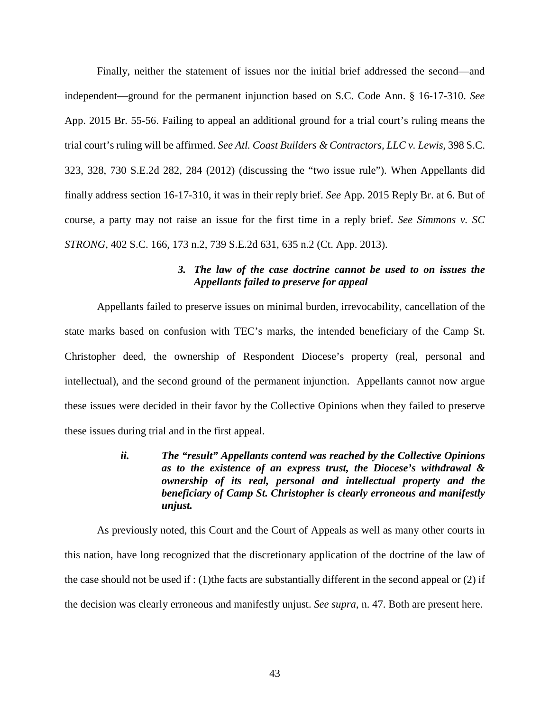Finally, neither the statement of issues nor the initial brief addressed the second—and independent—ground for the permanent injunction based on S.C. Code Ann. § 16-17-310. *See*  App. 2015 Br. 55-56. Failing to appeal an additional ground for a trial court's ruling means the trial court's ruling will be affirmed. *See Atl. Coast Builders & Contractors, LLC v. Lewis*, 398 S.C. 323, 328, 730 S.E.2d 282, 284 (2012) (discussing the "two issue rule"). When Appellants did finally address section 16-17-310, it was in their reply brief. *See* App. 2015 Reply Br. at 6. But of course, a party may not raise an issue for the first time in a reply brief. *See Simmons v. SC STRONG*, 402 S.C. 166, 173 n.2, 739 S.E.2d 631, 635 n.2 (Ct. App. 2013).

# *3. The law of the case doctrine cannot be used to on issues the Appellants failed to preserve for appeal*

Appellants failed to preserve issues on minimal burden, irrevocability, cancellation of the state marks based on confusion with TEC's marks, the intended beneficiary of the Camp St. Christopher deed, the ownership of Respondent Diocese's property (real, personal and intellectual), and the second ground of the permanent injunction. Appellants cannot now argue these issues were decided in their favor by the Collective Opinions when they failed to preserve these issues during trial and in the first appeal.

> *ii. The "result" Appellants contend was reached by the Collective Opinions as to the existence of an express trust, the Diocese's withdrawal & ownership of its real, personal and intellectual property and the beneficiary of Camp St. Christopher is clearly erroneous and manifestly unjust.*

As previously noted, this Court and the Court of Appeals as well as many other courts in this nation, have long recognized that the discretionary application of the doctrine of the law of the case should not be used if : (1)the facts are substantially different in the second appeal or  $(2)$  if the decision was clearly erroneous and manifestly unjust. *See supra*, n. 47. Both are present here.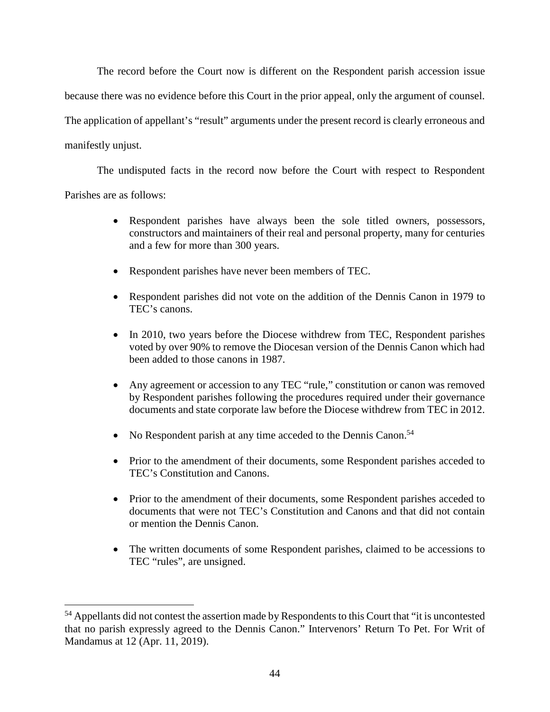The record before the Court now is different on the Respondent parish accession issue because there was no evidence before this Court in the prior appeal, only the argument of counsel. The application of appellant's "result" arguments under the present record is clearly erroneous and manifestly unjust.

The undisputed facts in the record now before the Court with respect to Respondent Parishes are as follows:

- Respondent parishes have always been the sole titled owners, possessors, constructors and maintainers of their real and personal property, many for centuries and a few for more than 300 years.
- Respondent parishes have never been members of TEC.
- Respondent parishes did not vote on the addition of the Dennis Canon in 1979 to TEC's canons.
- In 2010, two years before the Diocese withdrew from TEC, Respondent parishes voted by over 90% to remove the Diocesan version of the Dennis Canon which had been added to those canons in 1987.
- Any agreement or accession to any TEC "rule," constitution or canon was removed by Respondent parishes following the procedures required under their governance documents and state corporate law before the Diocese withdrew from TEC in 2012.
- No Respondent parish at any time acceded to the Dennis Canon.<sup>54</sup>
- Prior to the amendment of their documents, some Respondent parishes acceded to TEC's Constitution and Canons.
- Prior to the amendment of their documents, some Respondent parishes acceded to documents that were not TEC's Constitution and Canons and that did not contain or mention the Dennis Canon.
- The written documents of some Respondent parishes, claimed to be accessions to TEC "rules", are unsigned.

<sup>54</sup> Appellants did not contest the assertion made by Respondents to this Court that "it is uncontested that no parish expressly agreed to the Dennis Canon." Intervenors' Return To Pet. For Writ of Mandamus at 12 (Apr. 11, 2019).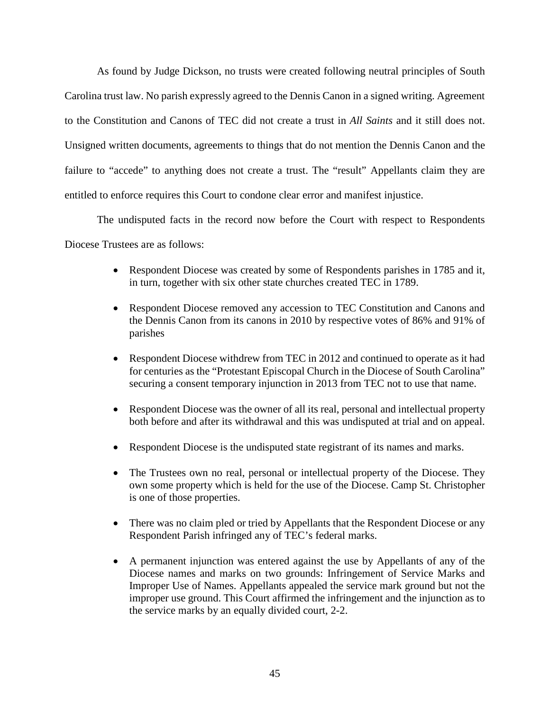As found by Judge Dickson, no trusts were created following neutral principles of South Carolina trust law. No parish expressly agreed to the Dennis Canon in a signed writing. Agreement to the Constitution and Canons of TEC did not create a trust in *All Saints* and it still does not. Unsigned written documents, agreements to things that do not mention the Dennis Canon and the failure to "accede" to anything does not create a trust. The "result" Appellants claim they are entitled to enforce requires this Court to condone clear error and manifest injustice.

The undisputed facts in the record now before the Court with respect to Respondents Diocese Trustees are as follows:

- Respondent Diocese was created by some of Respondents parishes in 1785 and it, in turn, together with six other state churches created TEC in 1789.
- Respondent Diocese removed any accession to TEC Constitution and Canons and the Dennis Canon from its canons in 2010 by respective votes of 86% and 91% of parishes
- Respondent Diocese withdrew from TEC in 2012 and continued to operate as it had for centuries as the "Protestant Episcopal Church in the Diocese of South Carolina" securing a consent temporary injunction in 2013 from TEC not to use that name.
- Respondent Diocese was the owner of all its real, personal and intellectual property both before and after its withdrawal and this was undisputed at trial and on appeal.
- Respondent Diocese is the undisputed state registrant of its names and marks.
- The Trustees own no real, personal or intellectual property of the Diocese. They own some property which is held for the use of the Diocese. Camp St. Christopher is one of those properties.
- There was no claim pled or tried by Appellants that the Respondent Diocese or any Respondent Parish infringed any of TEC's federal marks.
- A permanent injunction was entered against the use by Appellants of any of the Diocese names and marks on two grounds: Infringement of Service Marks and Improper Use of Names. Appellants appealed the service mark ground but not the improper use ground. This Court affirmed the infringement and the injunction as to the service marks by an equally divided court, 2-2.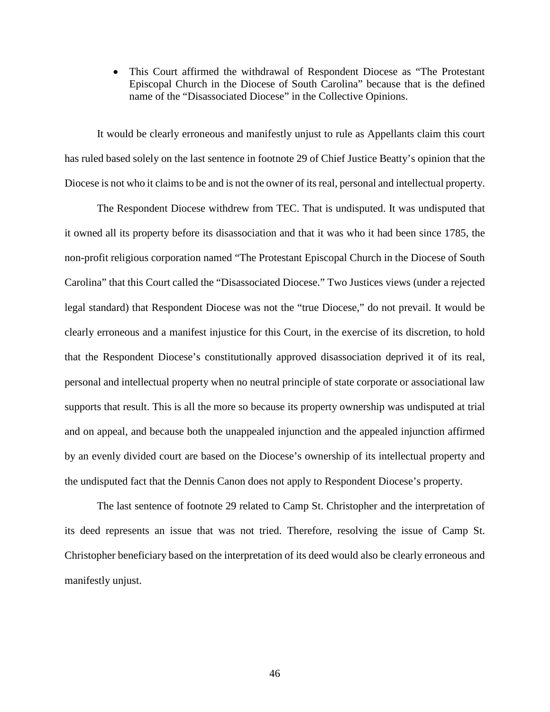This Court affirmed the withdrawal of Respondent Diocese as "The Protestant Episcopal Church in the Diocese of South Carolina" because that is the defined name of the "Disassociated Diocese" in the Collective Opinions.

It would be clearly erroneous and manifestly unjust to rule as Appellants claim this court has ruled based solely on the last sentence in footnote 29 of Chief Justice Beatty's opinion that the Diocese is not who it claims to be and is not the owner of its real, personal and intellectual property.

The Respondent Diocese withdrew from TEC. That is undisputed. It was undisputed that it owned all its property before its disassociation and that it was who it had been since 1785, the non-profit religious corporation named "The Protestant Episcopal Church in the Diocese of South Carolina" that this Court called the "Disassociated Diocese." Two Justices views (under a rejected legal standard) that Respondent Diocese was not the "true Diocese," do not prevail. It would be clearly erroneous and a manifest injustice for this Court, in the exercise of its discretion, to hold that the Respondent Diocese's constitutionally approved disassociation deprived it of its real, personal and intellectual property when no neutral principle of state corporate or associational law supports that result. This is all the more so because its property ownership was undisputed at trial and on appeal, and because both the unappealed injunction and the appealed injunction affirmed by an evenly divided court are based on the Diocese's ownership of its intellectual property and the undisputed fact that the Dennis Canon does not apply to Respondent Diocese's property.

The last sentence of footnote 29 related to Camp St. Christopher and the interpretation of its deed represents an issue that was not tried. Therefore, resolving the issue of Camp St. Christopher beneficiary based on the interpretation of its deed would also be clearly erroneous and manifestly unjust.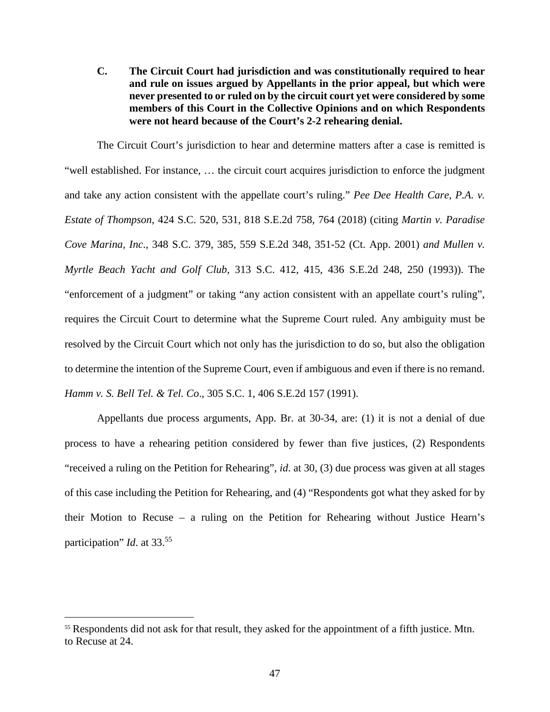**C. The Circuit Court had jurisdiction and was constitutionally required to hear and rule on issues argued by Appellants in the prior appeal, but which were never presented to or ruled on by the circuit court yet were considered by some members of this Court in the Collective Opinions and on which Respondents were not heard because of the Court's 2-2 rehearing denial.** 

The Circuit Court's jurisdiction to hear and determine matters after a case is remitted is "well established. For instance, … the circuit court acquires jurisdiction to enforce the judgment and take any action consistent with the appellate court's ruling." *Pee Dee Health Care, P.A. v. Estate of Thompson*, 424 S.C. 520, 531, 818 S.E.2d 758, 764 (2018) (citing *Martin v. Paradise Cove Marina, Inc*., 348 S.C. 379, 385, 559 S.E.2d 348, 351-52 (Ct. App. 2001) *and Mullen v. Myrtle Beach Yacht and Golf Club*, 313 S.C. 412, 415, 436 S.E.2d 248, 250 (1993)). The "enforcement of a judgment" or taking "any action consistent with an appellate court's ruling", requires the Circuit Court to determine what the Supreme Court ruled. Any ambiguity must be resolved by the Circuit Court which not only has the jurisdiction to do so, but also the obligation to determine the intention of the Supreme Court, even if ambiguous and even if there is no remand. *Hamm v. S. Bell Tel. & Tel. Co*., 305 S.C. 1, 406 S.E.2d 157 (1991).

Appellants due process arguments, App. Br. at 30-34, are: (1) it is not a denial of due process to have a rehearing petition considered by fewer than five justices, (2) Respondents "received a ruling on the Petition for Rehearing", *id*. at 30, (3) due process was given at all stages of this case including the Petition for Rehearing, and (4) "Respondents got what they asked for by their Motion to Recuse – a ruling on the Petition for Rehearing without Justice Hearn's participation" *Id*. at 33.<sup>55</sup>

<sup>&</sup>lt;sup>55</sup> Respondents did not ask for that result, they asked for the appointment of a fifth justice. Mtn. to Recuse at 24.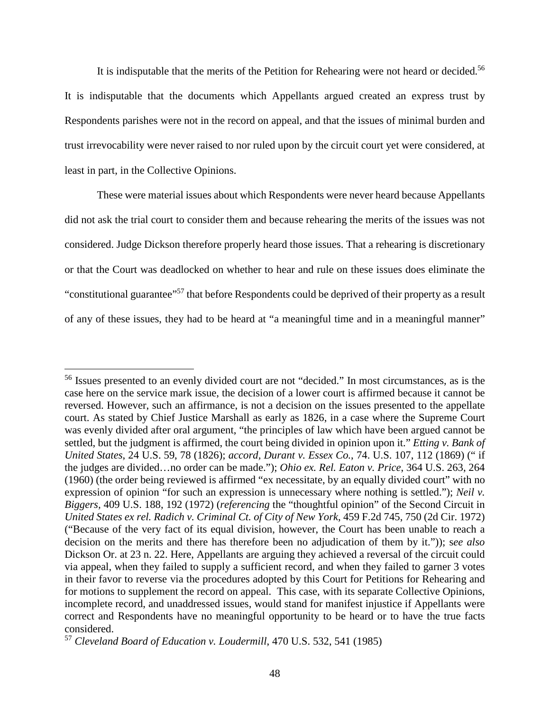It is indisputable that the merits of the Petition for Rehearing were not heard or decided.<sup>56</sup> It is indisputable that the documents which Appellants argued created an express trust by Respondents parishes were not in the record on appeal, and that the issues of minimal burden and trust irrevocability were never raised to nor ruled upon by the circuit court yet were considered, at least in part, in the Collective Opinions.

These were material issues about which Respondents were never heard because Appellants did not ask the trial court to consider them and because rehearing the merits of the issues was not considered. Judge Dickson therefore properly heard those issues. That a rehearing is discretionary or that the Court was deadlocked on whether to hear and rule on these issues does eliminate the "constitutional guarantee"<sup>57</sup> that before Respondents could be deprived of their property as a result of any of these issues, they had to be heard at "a meaningful time and in a meaningful manner"

<sup>&</sup>lt;sup>56</sup> Issues presented to an evenly divided court are not "decided." In most circumstances, as is the case here on the service mark issue, the decision of a lower court is affirmed because it cannot be reversed. However, such an affirmance, is not a decision on the issues presented to the appellate court. As stated by Chief Justice Marshall as early as 1826, in a case where the Supreme Court was evenly divided after oral argument, "the principles of law which have been argued cannot be settled, but the judgment is affirmed, the court being divided in opinion upon it." *Etting v. Bank of United States*, 24 U.S. 59, 78 (1826); *accord, Durant v. Essex Co.*, 74. U.S. 107, 112 (1869) (" if the judges are divided…no order can be made."); *Ohio ex. Rel. Eaton v. Price*, 364 U.S. 263, 264 (1960) (the order being reviewed is affirmed "ex necessitate, by an equally divided court" with no expression of opinion "for such an expression is unnecessary where nothing is settled."); *Neil v. Biggers,* 409 U.S. 188, 192 (1972) (*referencing* the "thoughtful opinion" of the Second Circuit in *United States ex rel. Radich v. Criminal Ct. of City of New York*, 459 F.2d 745, 750 (2d Cir. 1972) ("Because of the very fact of its equal division, however, the Court has been unable to reach a decision on the merits and there has therefore been no adjudication of them by it.")); s*ee also* Dickson Or. at 23 n. 22. Here, Appellants are arguing they achieved a reversal of the circuit could via appeal, when they failed to supply a sufficient record, and when they failed to garner 3 votes in their favor to reverse via the procedures adopted by this Court for Petitions for Rehearing and for motions to supplement the record on appeal. This case, with its separate Collective Opinions, incomplete record, and unaddressed issues, would stand for manifest injustice if Appellants were correct and Respondents have no meaningful opportunity to be heard or to have the true facts considered.

<sup>57</sup> *Cleveland Board of Education v. Loudermill*, 470 U.S. 532, 541 (1985)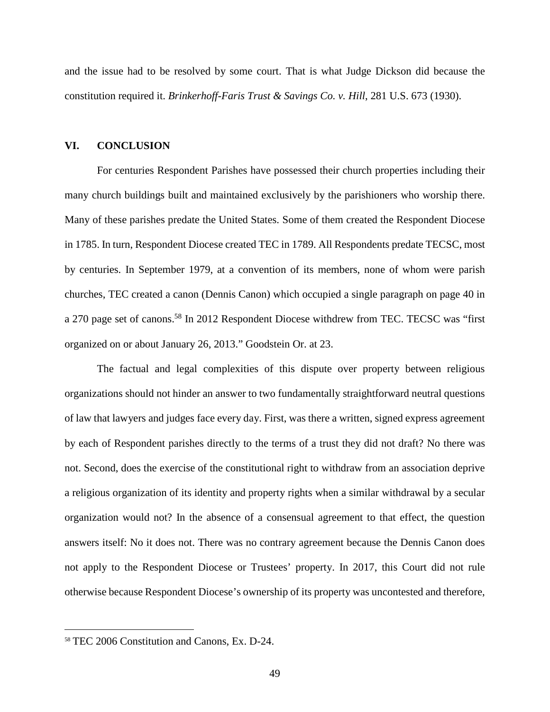and the issue had to be resolved by some court. That is what Judge Dickson did because the constitution required it. *Brinkerhoff-Faris Trust & Savings Co. v. Hill*, 281 U.S. 673 (1930).

#### **VI. CONCLUSION**

For centuries Respondent Parishes have possessed their church properties including their many church buildings built and maintained exclusively by the parishioners who worship there. Many of these parishes predate the United States. Some of them created the Respondent Diocese in 1785. In turn, Respondent Diocese created TEC in 1789. All Respondents predate TECSC, most by centuries. In September 1979, at a convention of its members, none of whom were parish churches, TEC created a canon (Dennis Canon) which occupied a single paragraph on page 40 in a 270 page set of canons.<sup>58</sup> In 2012 Respondent Diocese withdrew from TEC. TECSC was "first organized on or about January 26, 2013." Goodstein Or. at 23.

The factual and legal complexities of this dispute over property between religious organizations should not hinder an answer to two fundamentally straightforward neutral questions of law that lawyers and judges face every day. First, was there a written, signed express agreement by each of Respondent parishes directly to the terms of a trust they did not draft? No there was not. Second, does the exercise of the constitutional right to withdraw from an association deprive a religious organization of its identity and property rights when a similar withdrawal by a secular organization would not? In the absence of a consensual agreement to that effect, the question answers itself: No it does not. There was no contrary agreement because the Dennis Canon does not apply to the Respondent Diocese or Trustees' property. In 2017, this Court did not rule otherwise because Respondent Diocese's ownership of its property was uncontested and therefore,

<sup>58</sup> TEC 2006 Constitution and Canons, Ex. D-24.